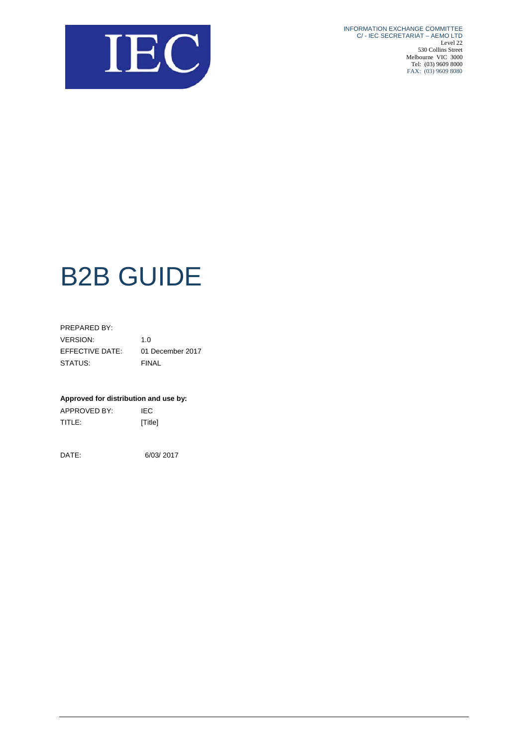

INFORMATION EXCHANGE COMMITTEE C/ - IEC SECRETARIAT – AEMO LTD Level 22 530 Collins Street Melbourne VIC 3000 Tel: (03) 9609 8000 FAX: (03) 9609 8080

# B2B GUIDE

| PREPARED BY:    |                  |
|-----------------|------------------|
| <b>VERSION:</b> | 1. $\Omega$      |
| EFFECTIVE DATE: | 01 December 2017 |
| STATUS:         | FINAL            |

#### **Approved for distribution and use by:**

APPROVED BY: IEC TITLE: [Title]

DATE: 6/03/ 2017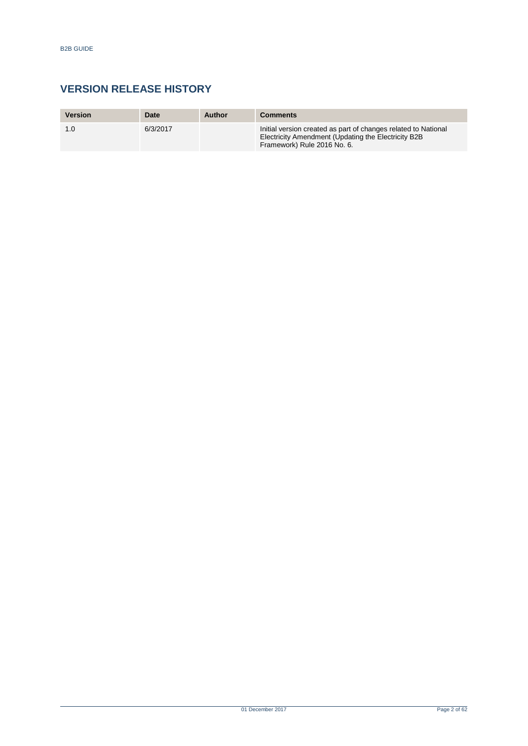# **VERSION RELEASE HISTORY**

| <b>Version</b> | Date     | Author | <b>Comments</b>                                                                                                                                      |
|----------------|----------|--------|------------------------------------------------------------------------------------------------------------------------------------------------------|
| 1.0            | 6/3/2017 |        | Initial version created as part of changes related to National<br>Electricity Amendment (Updating the Electricity B2B<br>Framework) Rule 2016 No. 6. |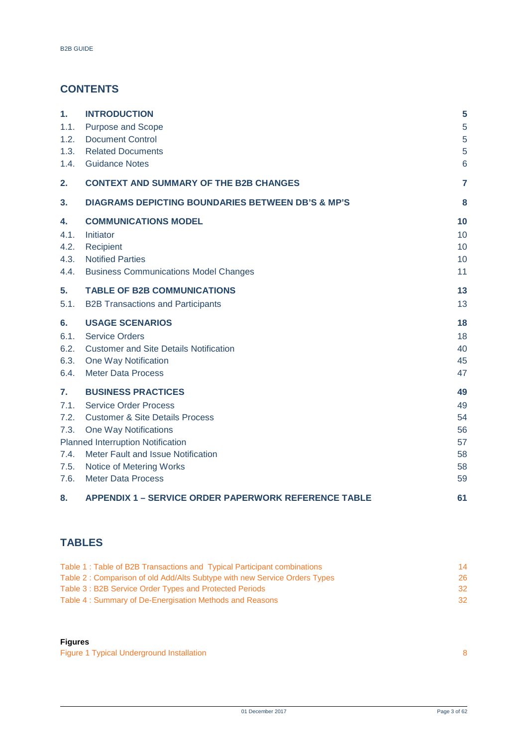# **CONTENTS**

| 1.   | <b>INTRODUCTION</b>                                          | 5  |
|------|--------------------------------------------------------------|----|
| 1.1. | <b>Purpose and Scope</b>                                     | 5  |
| 1.2. | <b>Document Control</b>                                      | 5  |
| 1.3. | <b>Related Documents</b>                                     | 5  |
| 1.4. | <b>Guidance Notes</b>                                        | 6  |
| 2.   | <b>CONTEXT AND SUMMARY OF THE B2B CHANGES</b>                | 7  |
| 3.   | <b>DIAGRAMS DEPICTING BOUNDARIES BETWEEN DB'S &amp; MP'S</b> | 8  |
| 4.   | <b>COMMUNICATIONS MODEL</b>                                  | 10 |
| 4.1. | Initiator                                                    | 10 |
| 4.2. | Recipient                                                    | 10 |
| 4.3. | <b>Notified Parties</b>                                      | 10 |
| 4.4. | <b>Business Communications Model Changes</b>                 | 11 |
| 5.   | <b>TABLE OF B2B COMMUNICATIONS</b>                           | 13 |
| 5.1. | <b>B2B Transactions and Participants</b>                     | 13 |
| 6.   | <b>USAGE SCENARIOS</b>                                       | 18 |
| 6.1. | <b>Service Orders</b>                                        | 18 |
| 6.2. | <b>Customer and Site Details Notification</b>                | 40 |
| 6.3. | One Way Notification                                         | 45 |
| 6.4. | <b>Meter Data Process</b>                                    | 47 |
| 7.   | <b>BUSINESS PRACTICES</b>                                    | 49 |
| 7.1. | <b>Service Order Process</b>                                 | 49 |
| 7.2. | <b>Customer &amp; Site Details Process</b>                   | 54 |
| 7.3. | One Way Notifications                                        | 56 |
|      | <b>Planned Interruption Notification</b>                     | 57 |
| 7.4. | Meter Fault and Issue Notification                           | 58 |
| 7.5. | Notice of Metering Works                                     | 58 |
| 7.6. | <b>Meter Data Process</b>                                    | 59 |
| 8.   | <b>APPENDIX 1 - SERVICE ORDER PAPERWORK REFERENCE TABLE</b>  | 61 |

# **TABLES**

| Table 1: Table of B2B Transactions and Typical Participant combinations   | 14  |
|---------------------------------------------------------------------------|-----|
| Table 2: Comparison of old Add/Alts Subtype with new Service Orders Types | 26. |
| Table 3: B2B Service Order Types and Protected Periods                    | 32. |
| Table 4: Summary of De-Energisation Methods and Reasons                   | 32. |

## **Figures**

[Figure 1 Typical Underground Installation](#page-7-1) 8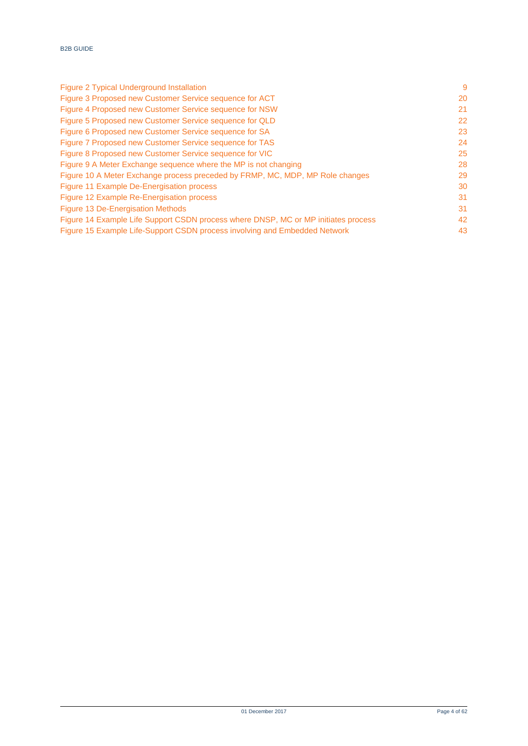| -9 |
|----|
| 20 |
| 21 |
| 22 |
| 23 |
| 24 |
| 25 |
| 28 |
| 29 |
| 30 |
| 31 |
| 31 |
| 42 |
| 43 |
|    |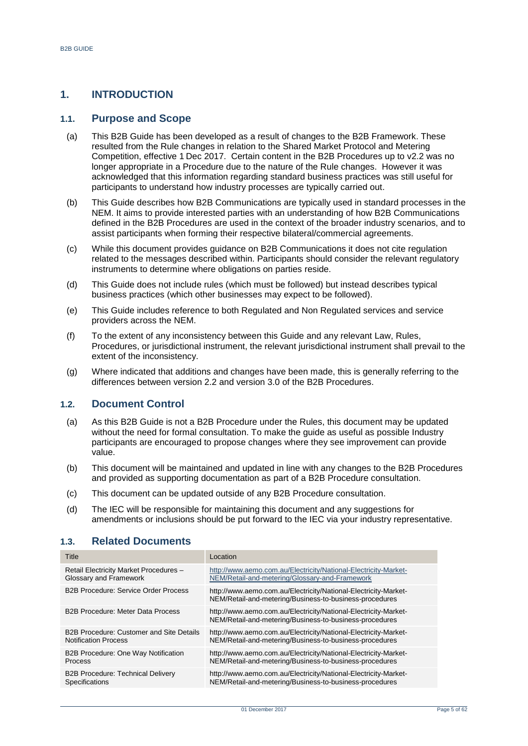## <span id="page-4-0"></span>**1. INTRODUCTION**

## <span id="page-4-1"></span>**1.1. Purpose and Scope**

- (a) This B2B Guide has been developed as a result of changes to the B2B Framework. These resulted from the Rule changes in relation to the Shared Market Protocol and Metering Competition, effective 1 Dec 2017. Certain content in the B2B Procedures up to v2.2 was no longer appropriate in a Procedure due to the nature of the Rule changes. However it was acknowledged that this information regarding standard business practices was still useful for participants to understand how industry processes are typically carried out.
- (b) This Guide describes how B2B Communications are typically used in standard processes in the NEM. It aims to provide interested parties with an understanding of how B2B Communications defined in the B2B Procedures are used in the context of the broader industry scenarios, and to assist participants when forming their respective bilateral/commercial agreements.
- (c) While this document provides guidance on B2B Communications it does not cite regulation related to the messages described within. Participants should consider the relevant regulatory instruments to determine where obligations on parties reside.
- (d) This Guide does not include rules (which must be followed) but instead describes typical business practices (which other businesses may expect to be followed).
- (e) This Guide includes reference to both Regulated and Non Regulated services and service providers across the NEM.
- (f) To the extent of any inconsistency between this Guide and any relevant Law, Rules, Procedures, or jurisdictional instrument, the relevant jurisdictional instrument shall prevail to the extent of the inconsistency.
- (g) Where indicated that additions and changes have been made, this is generally referring to the differences between version 2.2 and version 3.0 of the B2B Procedures.

## <span id="page-4-2"></span>**1.2. Document Control**

- (a) As this B2B Guide is not a B2B Procedure under the Rules, this document may be updated without the need for formal consultation. To make the guide as useful as possible Industry participants are encouraged to propose changes where they see improvement can provide value.
- (b) This document will be maintained and updated in line with any changes to the B2B Procedures and provided as supporting documentation as part of a B2B Procedure consultation.
- (c) This document can be updated outside of any B2B Procedure consultation.
- (d) The IEC will be responsible for maintaining this document and any suggestions for amendments or inclusions should be put forward to the IEC via your industry representative.

| Title                                           | Location                                                                                                                   |
|-------------------------------------------------|----------------------------------------------------------------------------------------------------------------------------|
| Retail Electricity Market Procedures -          | http://www.aemo.com.au/Electricity/National-Electricity-Market-                                                            |
| Glossary and Framework                          | NEM/Retail-and-metering/Glossary-and-Framework                                                                             |
| <b>B2B Procedure: Service Order Process</b>     | http://www.aemo.com.au/Electricity/National-Electricity-Market-<br>NEM/Retail-and-metering/Business-to-business-procedures |
| <b>B2B Procedure: Meter Data Process</b>        | http://www.aemo.com.au/Electricity/National-Electricity-Market-<br>NEM/Retail-and-metering/Business-to-business-procedures |
| <b>B2B Procedure: Customer and Site Details</b> | http://www.aemo.com.au/Electricity/National-Electricity-Market-                                                            |
| <b>Notification Process</b>                     | NEM/Retail-and-metering/Business-to-business-procedures                                                                    |
| B2B Procedure: One Way Notification             | http://www.aemo.com.au/Electricity/National-Electricity-Market-                                                            |
| Process                                         | NEM/Retail-and-metering/Business-to-business-procedures                                                                    |
| <b>B2B Procedure: Technical Delivery</b>        | http://www.aemo.com.au/Electricity/National-Electricity-Market-                                                            |
| Specifications                                  | NEM/Retail-and-metering/Business-to-business-procedures                                                                    |

#### <span id="page-4-3"></span>**1.3. Related Documents**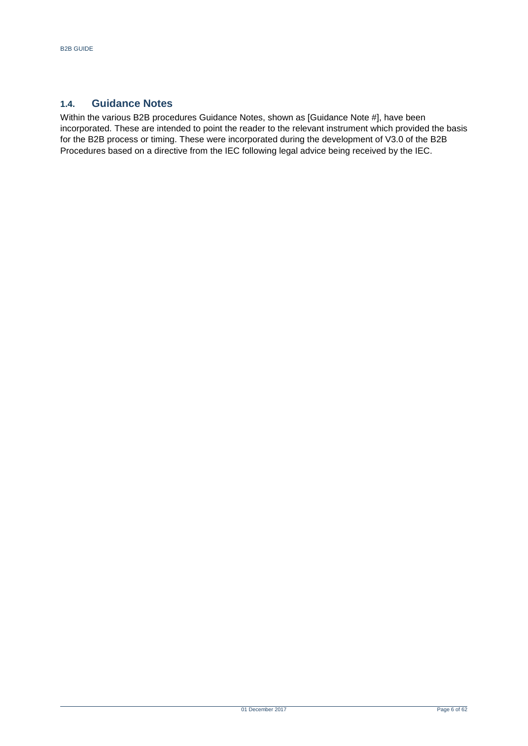## <span id="page-5-0"></span>**1.4. Guidance Notes**

Within the various B2B procedures Guidance Notes, shown as [Guidance Note #], have been incorporated. These are intended to point the reader to the relevant instrument which provided the basis for the B2B process or timing. These were incorporated during the development of V3.0 of the B2B Procedures based on a directive from the IEC following legal advice being received by the IEC.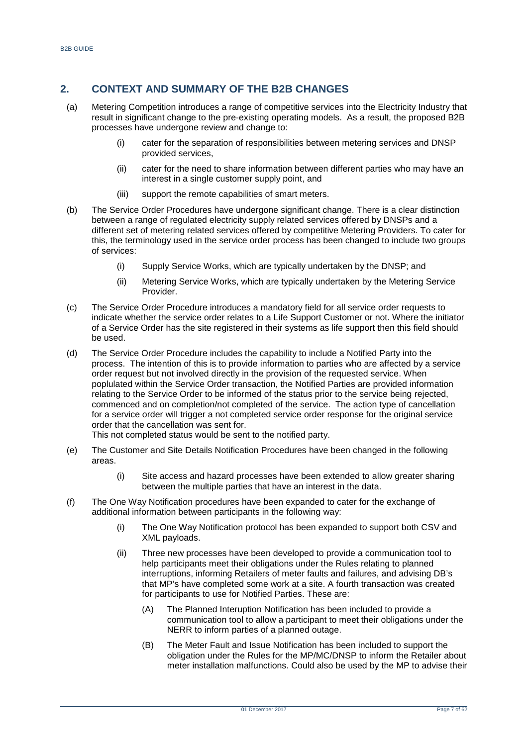## <span id="page-6-0"></span>**2. CONTEXT AND SUMMARY OF THE B2B CHANGES**

- (a) Metering Competition introduces a range of competitive services into the Electricity Industry that result in significant change to the pre-existing operating models. As a result, the proposed B2B processes have undergone review and change to:
	- (i) cater for the separation of responsibilities between metering services and DNSP provided services,
	- (ii) cater for the need to share information between different parties who may have an interest in a single customer supply point, and
	- (iii) support the remote capabilities of smart meters.
- (b) The Service Order Procedures have undergone significant change. There is a clear distinction between a range of regulated electricity supply related services offered by DNSPs and a different set of metering related services offered by competitive Metering Providers. To cater for this, the terminology used in the service order process has been changed to include two groups of services:
	- (i) Supply Service Works, which are typically undertaken by the DNSP; and
	- (ii) Metering Service Works, which are typically undertaken by the Metering Service Provider.
- (c) The Service Order Procedure introduces a mandatory field for all service order requests to indicate whether the service order relates to a Life Support Customer or not. Where the initiator of a Service Order has the site registered in their systems as life support then this field should be used.
- (d) The Service Order Procedure includes the capability to include a Notified Party into the process. The intention of this is to provide information to parties who are affected by a service order request but not involved directly in the provision of the requested service. When poplulated within the Service Order transaction, the Notified Parties are provided information relating to the Service Order to be informed of the status prior to the service being rejected, commenced and on completion/not completed of the service. The action type of cancellation for a service order will trigger a not completed service order response for the original service order that the cancellation was sent for.

This not completed status would be sent to the notified party.

- (e) The Customer and Site Details Notification Procedures have been changed in the following areas.
	- (i) Site access and hazard processes have been extended to allow greater sharing between the multiple parties that have an interest in the data.
- (f) The One Way Notification procedures have been expanded to cater for the exchange of additional information between participants in the following way:
	- (i) The One Way Notification protocol has been expanded to support both CSV and XML payloads.
	- (ii) Three new processes have been developed to provide a communication tool to help participants meet their obligations under the Rules relating to planned interruptions, informing Retailers of meter faults and failures, and advising DB's that MP's have completed some work at a site. A fourth transaction was created for participants to use for Notified Parties. These are:
		- (A) The Planned Interuption Notification has been included to provide a communication tool to allow a participant to meet their obligations under the NERR to inform parties of a planned outage.
		- (B) The Meter Fault and Issue Notification has been included to support the obligation under the Rules for the MP/MC/DNSP to inform the Retailer about meter installation malfunctions. Could also be used by the MP to advise their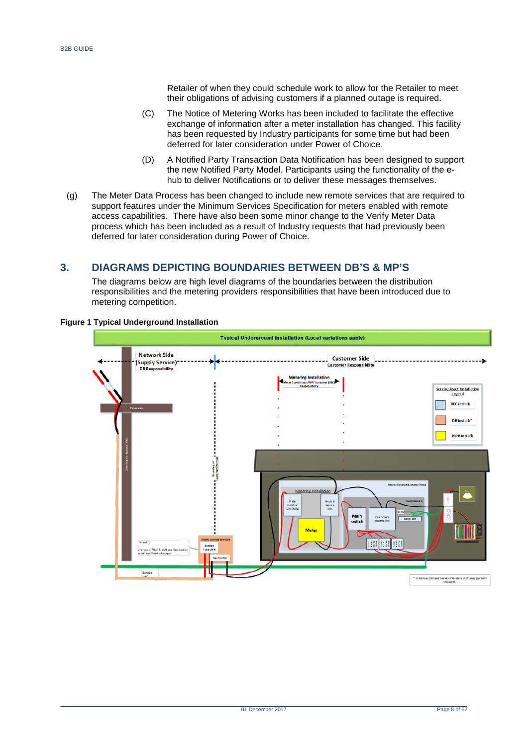Retailer of when they could schedule work to allow for the Retailer to meet their obligations of advising customers if a planned outage is required.

- (C) The Notice of Metering Works has been included to facilitate the effective exchange of information after a meter installation has changed. This facility has been requested by Industry participants for some time but had been deferred for later consideration under Power of Choice.
- (D) A Notified Party Transaction Data Notification has been designed to support the new Notified Party Model. Participants using the functionality of the ehub to deliver Notifications or to deliver these messages themselves.
- (g) The Meter Data Process has been changed to include new remote services that are required to support features under the Minimum Services Specification for meters enabled with remote access capabilities. There have also been some minor change to the Verify Meter Data process which has been included as a result of Industry requests that had previously been deferred for later consideration during Power of Choice.

## <span id="page-7-0"></span>**3. DIAGRAMS DEPICTING BOUNDARIES BETWEEN DB'S & MP'S**

The diagrams below are high level diagrams of the boundaries between the distribution responsibilities and the metering providers responsibilities that have been introduced due to metering competition.



#### <span id="page-7-1"></span>**Figure 1 Typical Underground Installation**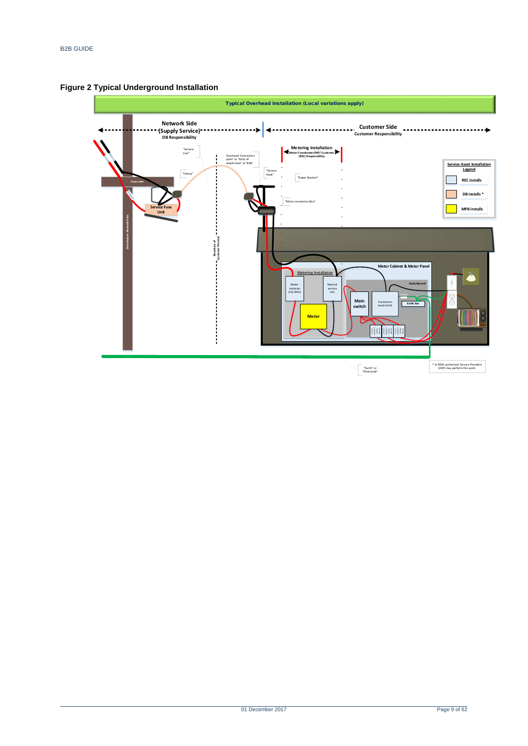

<span id="page-8-0"></span>**Figure 2 Typical Underground Installation**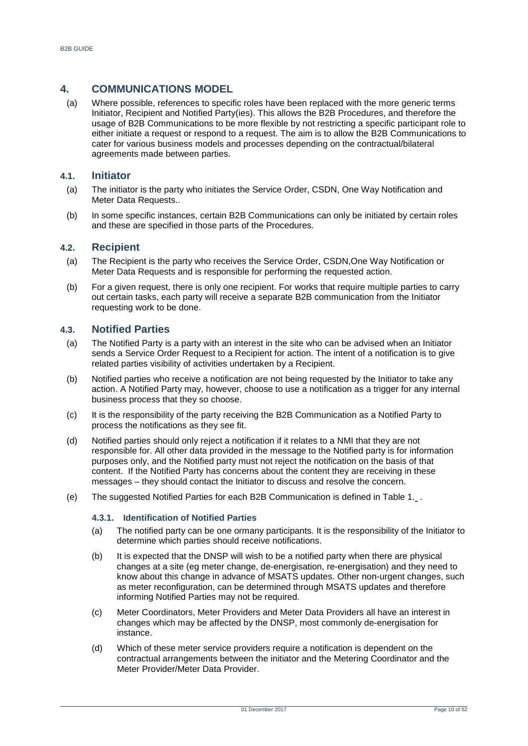## <span id="page-9-0"></span>**4. COMMUNICATIONS MODEL**

(a) Where possible, references to specific roles have been replaced with the more generic terms Initiator, Recipient and Notified Party(ies). This allows the B2B Procedures, and therefore the usage of B2B Communications to be more flexible by not restricting a specific participant role to either initiate a request or respond to a request. The aim is to allow the B2B Communications to cater for various business models and processes depending on the contractual/bilateral agreements made between parties.

## <span id="page-9-1"></span>**4.1. Initiator**

- (a) The initiator is the party who initiates the Service Order, CSDN, One Way Notification and Meter Data Requests..
- (b) In some specific instances, certain B2B Communications can only be initiated by certain roles and these are specified in those parts of the Procedures.

## <span id="page-9-2"></span>**4.2. Recipient**

- (a) The Recipient is the party who receives the Service Order, CSDN,One Way Notification or Meter Data Requests and is responsible for performing the requested action.
- (b) For a given request, there is only one recipient. For works that require multiple parties to carry out certain tasks, each party will receive a separate B2B communication from the Initiator requesting work to be done.

## <span id="page-9-3"></span>**4.3. Notified Parties**

- (a) The Notified Party is a party with an interest in the site who can be advised when an Initiator sends a Service Order Request to a Recipient for action. The intent of a notification is to give related parties visibility of activities undertaken by a Recipient.
- (b) Notified parties who receive a notification are not being requested by the Initiator to take any action. A Notified Party may, however, choose to use a notification as a trigger for any internal business process that they so choose.
- (c) It is the responsibility of the party receiving the B2B Communication as a Notified Party to process the notifications as they see fit.
- (d) Notified parties should only reject a notification if it relates to a NMI that they are not responsible for. All other data provided in the message to the Notified party is for information purposes only, and the Notified party must not reject the notification on the basis of that content. If the Notified Party has concerns about the content they are receiving in these messages – they should contact the Initiator to discuss and resolve the concern.
- (e) The suggested Notified Parties for each B2B Communication is defined in Table 1[.](#page-12-0) .

#### **4.3.1. Identification of Notified Parties**

- (a) The notified party can be one ormany participants. It is the responsibility of the Initiator to determine which parties should receive notifications.
- (b) It is expected that the DNSP will wish to be a notified party when there are physical changes at a site (eg meter change, de-energisation, re-energisation) and they need to know about this change in advance of MSATS updates. Other non-urgent changes, such as meter reconfiguration, can be determined through MSATS updates and therefore informing Notified Parties may not be required.
- (c) Meter Coordinators, Meter Providers and Meter Data Providers all have an interest in changes which may be affected by the DNSP, most commonly de-energisation for instance.
- (d) Which of these meter service providers require a notification is dependent on the contractual arrangements between the initiator and the Metering Coordinator and the Meter Provider/Meter Data Provider.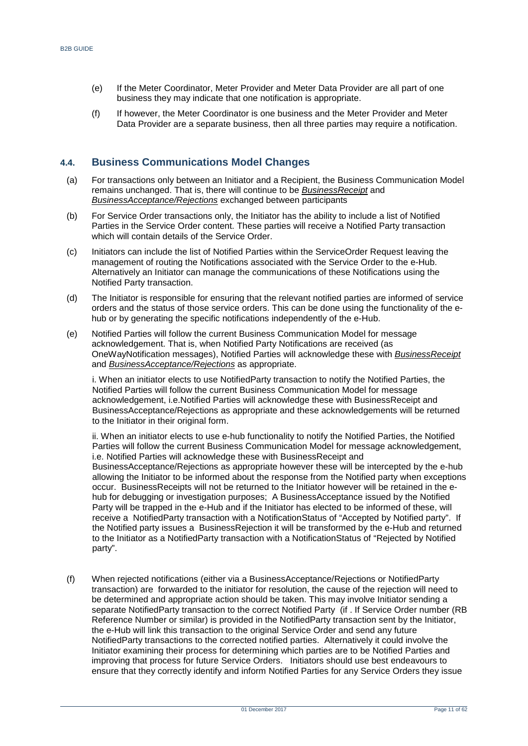- (e) If the Meter Coordinator, Meter Provider and Meter Data Provider are all part of one business they may indicate that one notification is appropriate.
- (f) If however, the Meter Coordinator is one business and the Meter Provider and Meter Data Provider are a separate business, then all three parties may require a notification.

## <span id="page-10-0"></span>**4.4. Business Communications Model Changes**

- (a) For transactions only between an Initiator and a Recipient, the Business Communication Model remains unchanged. That is, there will continue to be *BusinessReceipt* and *BusinessAcceptance/Rejections* exchanged between participants
- (b) For Service Order transactions only, the Initiator has the ability to include a list of Notified Parties in the Service Order content. These parties will receive a Notified Party transaction which will contain details of the Service Order.
- (c) Initiators can include the list of Notified Parties within the ServiceOrder Request leaving the management of routing the Notifications associated with the Service Order to the e-Hub. Alternatively an Initiator can manage the communications of these Notifications using the Notified Party transaction.
- (d) The Initiator is responsible for ensuring that the relevant notified parties are informed of service orders and the status of those service orders. This can be done using the functionality of the ehub or by generating the specific notifications independently of the e-Hub.
- (e) Notified Parties will follow the current Business Communication Model for message acknowledgement. That is, when Notified Party Notifications are received (as OneWayNotification messages), Notified Parties will acknowledge these with *BusinessReceipt* and *BusinessAcceptance/Rejections* as appropriate.

i. When an initiator elects to use NotifiedParty transaction to notify the Notified Parties, the Notified Parties will follow the current Business Communication Model for message acknowledgement, i.e.Notified Parties will acknowledge these with BusinessReceipt and BusinessAcceptance/Rejections as appropriate and these acknowledgements will be returned to the Initiator in their original form.

ii. When an initiator elects to use e-hub functionality to notify the Notified Parties, the Notified Parties will follow the current Business Communication Model for message acknowledgement, i.e. Notified Parties will acknowledge these with BusinessReceipt and BusinessAcceptance/Rejections as appropriate however these will be intercepted by the e-hub allowing the Initiator to be informed about the response from the Notified party when exceptions occur. BusinessReceipts will not be returned to the Initiator however will be retained in the ehub for debugging or investigation purposes; A BusinessAcceptance issued by the Notified Party will be trapped in the e-Hub and if the Initiator has elected to be informed of these, will receive a NotifiedParty transaction with a NotificationStatus of "Accepted by Notified party". If the Notified party issues a BusinessRejection it will be transformed by the e-Hub and returned to the Initiator as a NotifiedParty transaction with a NotificationStatus of "Rejected by Notified party".

(f) When rejected notifications (either via a BusinessAcceptance/Rejections or NotifiedParty transaction) are forwarded to the initiator for resolution, the cause of the rejection will need to be determined and appropriate action should be taken. This may involve Initiator sending a separate NotifiedParty transaction to the correct Notified Party (if . If Service Order number (RB Reference Number or similar) is provided in the NotifiedParty transaction sent by the Initiator, the e-Hub will link this transaction to the original Service Order and send any future NotifiedParty transactions to the corrected notified parties. Alternatively it could involve the Initiator examining their process for determining which parties are to be Notified Parties and improving that process for future Service Orders. Initiators should use best endeavours to ensure that they correctly identify and inform Notified Parties for any Service Orders they issue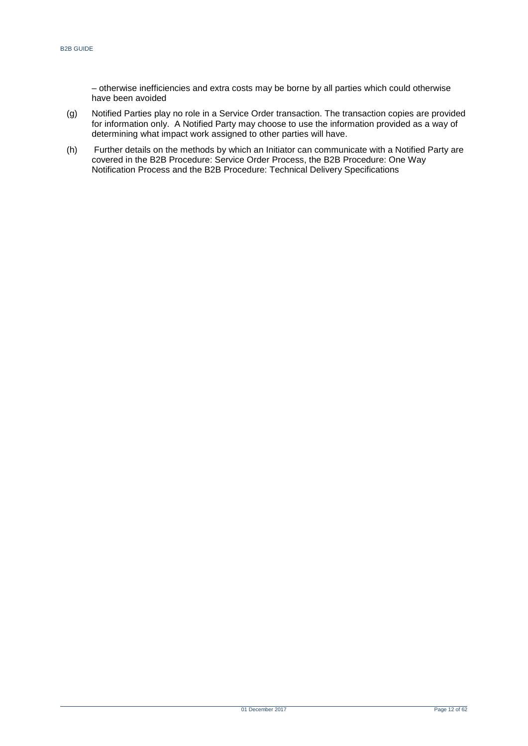– otherwise inefficiencies and extra costs may be borne by all parties which could otherwise have been avoided

- (g) Notified Parties play no role in a Service Order transaction. The transaction copies are provided for information only. A Notified Party may choose to use the information provided as a way of determining what impact work assigned to other parties will have.
- (h) Further details on the methods by which an Initiator can communicate with a Notified Party are covered in the B2B Procedure: Service Order Process, the B2B Procedure: One Way Notification Process and the B2B Procedure: Technical Delivery Specifications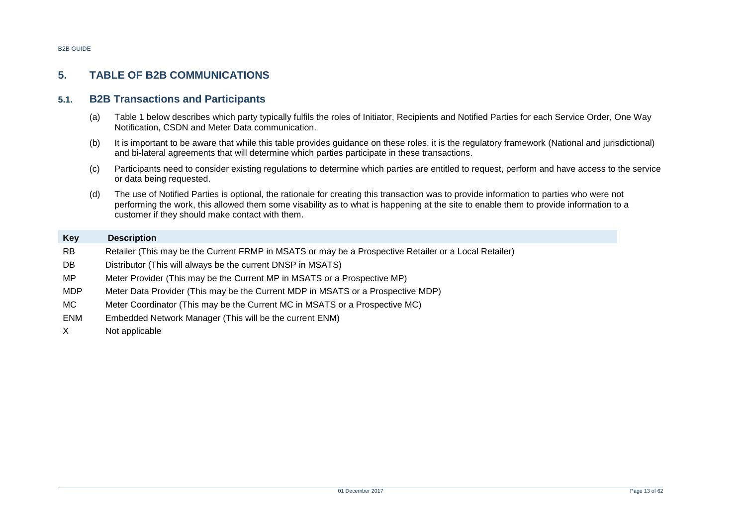# **5. TABLE OF B2B COMMUNICATIONS**

## **5.1. B2B Transactions and Participants**

- (a) Table 1 below describes which party typically fulfils the roles of Initiator, Recipients and Notified Parties for each Service Order, One Way Notification, CSDN and Meter Data communication.
- (b) It is important to be aware that while this table provides guidance on these roles, it is the regulatory framework (National and jurisdictional) and bi-lateral agreements that will determine which parties participate in these transactions.
- (c) Participants need to consider existing regulations to determine which parties are entitled to request, perform and have access to the service or data being requested.
- (d) The use of Notified Parties is optional, the rationale for creating this transaction was to provide information to parties who were not performing the work, this allowed them some visability as to what is happening at the site to enable them to provide information to a customer if they should make contact with them.

## **Key Description** RB Retailer (This may be the Current FRMP in MSATS or may be a Prospective Retailer or a Local Retailer)

- DB Distributor (This will always be the current DNSP in MSATS)
- <span id="page-12-0"></span>MP Meter Provider (This may be the Current MP in MSATS or a Prospective MP)
- MDP Meter Data Provider (This may be the Current MDP in MSATS or a Prospective MDP)
- <span id="page-12-1"></span>MC Meter Coordinator (This may be the Current MC in MSATS or a Prospective MC)
- ENM Embedded Network Manager (This will be the current ENM)
- X Not applicable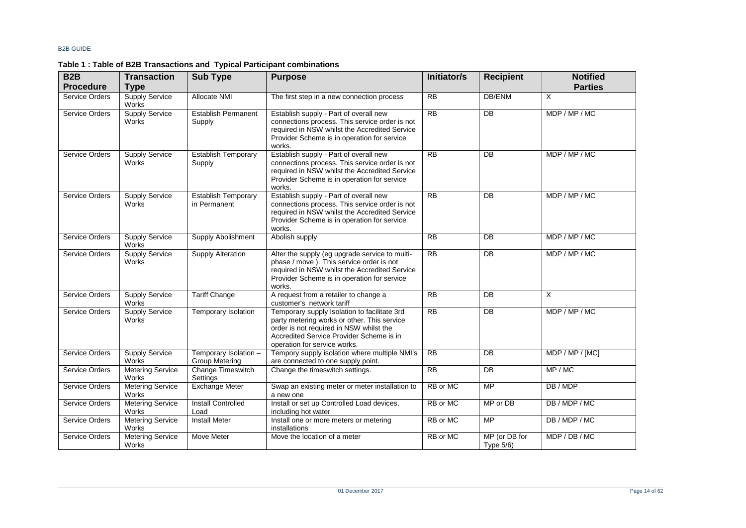<span id="page-13-0"></span>

| B <sub>2</sub> B      | <b>Transaction</b>                    | <b>Sub Type</b>                            | <b>Purpose</b>                                                                                                                                                                                                                          | <b>Initiator/s</b> | <b>Recipient</b>           | <b>Notified</b> |
|-----------------------|---------------------------------------|--------------------------------------------|-----------------------------------------------------------------------------------------------------------------------------------------------------------------------------------------------------------------------------------------|--------------------|----------------------------|-----------------|
| <b>Procedure</b>      | <b>Type</b>                           |                                            |                                                                                                                                                                                                                                         |                    |                            | <b>Parties</b>  |
| <b>Service Orders</b> | <b>Supply Service</b><br>Works        | Allocate NMI                               | The first step in a new connection process                                                                                                                                                                                              | <b>RB</b>          | DB/ENM                     | $\times$        |
| Service Orders        | Supply Service<br><b>Works</b>        | <b>Establish Permanent</b><br>Supply       | Establish supply - Part of overall new<br>connections process. This service order is not<br>required in NSW whilst the Accredited Service<br>Provider Scheme is in operation for service<br>works.                                      | RB                 | $\overline{DB}$            | MDP / MP / MC   |
| <b>Service Orders</b> | <b>Supply Service</b><br><b>Works</b> | <b>Establish Temporary</b><br>Supply       | Establish supply - Part of overall new<br>R <sub>B</sub><br>$\overline{DB}$<br>connections process. This service order is not<br>required in NSW whilst the Accredited Service<br>Provider Scheme is in operation for service<br>works. |                    |                            | MDP / MP / MC   |
| Service Orders        | <b>Supply Service</b><br>Works        | <b>Establish Temporary</b><br>in Permanent | Establish supply - Part of overall new<br>connections process. This service order is not<br>required in NSW whilst the Accredited Service<br>Provider Scheme is in operation for service<br>works.                                      | RB                 | $\overline{DB}$            | MDP / MP / MC   |
| Service Orders        | <b>Supply Service</b><br>Works        | <b>Supply Abolishment</b>                  | Abolish supply                                                                                                                                                                                                                          | R <sub>B</sub>     | $\overline{DB}$            | MDP / MP / MC   |
| <b>Service Orders</b> | <b>Supply Service</b><br>Works        | Supply Alteration                          | Alter the supply (eg upgrade service to multi-<br>phase / move ). This service order is not<br>required in NSW whilst the Accredited Service<br>Provider Scheme is in operation for service<br>works.                                   | R <sub>B</sub>     | DB                         | MDP / MP / MC   |
| Service Orders        | <b>Supply Service</b><br>Works        | <b>Tariff Change</b>                       | A request from a retailer to change a<br>customer's network tariff                                                                                                                                                                      | R <sub>B</sub>     | DB                         | $\times$        |
| Service Orders        | <b>Supply Service</b><br>Works        | Temporary Isolation                        | Temporary supply Isolation to facilitate 3rd<br>party metering works or other. This service<br>order is not required in NSW whilst the<br>Accredited Service Provider Scheme is in<br>operation for service works.                      | $\overline{RB}$    | $\overline{DB}$            | MDP / MP / MC   |
| Service Orders        | <b>Supply Service</b><br>Works        | Temporary Isolation -<br>Group Metering    | Tempory supply isolation where multiple NMI's<br>are connected to one supply point.                                                                                                                                                     | RB                 | $\overline{DB}$            | MDP / MP / [MC] |
| Service Orders        | <b>Metering Service</b><br>Works      | Change Timeswitch<br>Settings              | Change the timeswitch settings.                                                                                                                                                                                                         | RB                 | $\overline{DB}$            | MP / MC         |
| Service Orders        | <b>Metering Service</b><br>Works      | <b>Exchange Meter</b>                      | Swap an existing meter or meter installation to<br>a new one                                                                                                                                                                            | RB or MC           | <b>MP</b>                  | DB / MDP        |
| Service Orders        | <b>Metering Service</b><br>Works      | <b>Install Controlled</b><br>Load          | Install or set up Controlled Load devices,<br>including hot water                                                                                                                                                                       | RB or MC           | MP or DB                   | DB / MDP / MC   |
| <b>Service Orders</b> | <b>Metering Service</b><br>Works      | <b>Install Meter</b>                       | Install one or more meters or metering<br>installations                                                                                                                                                                                 | RB or MC           | MP                         | DB / MDP / MC   |
| Service Orders        | <b>Metering Service</b><br>Works      | <b>Move Meter</b>                          | Move the location of a meter                                                                                                                                                                                                            | RB or MC           | MP (or DB for<br>Type 5/6) | MDP / DB / MC   |

## **Table 1 : Table of B2B Transactions and Typical Participant combinations**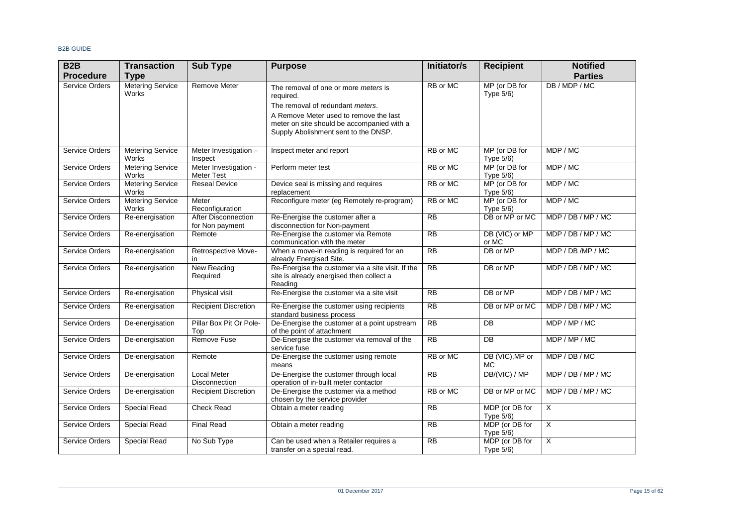| B <sub>2</sub> B      | <b>Transaction</b>                      | <b>Sub Type</b>                               | <b>Purpose</b>                                                                                                               | Initiator/s    | <b>Recipient</b>               | <b>Notified</b>         |
|-----------------------|-----------------------------------------|-----------------------------------------------|------------------------------------------------------------------------------------------------------------------------------|----------------|--------------------------------|-------------------------|
| <b>Procedure</b>      | <b>Type</b>                             |                                               |                                                                                                                              |                |                                | <b>Parties</b>          |
| <b>Service Orders</b> | <b>Metering Service</b><br><b>Works</b> | <b>Remove Meter</b>                           | The removal of one or more meters is<br>required.<br>The removal of redundant meters.                                        | RB or MC       | MP (or DB for<br>Type 5/6)     | DB / MDP / MC           |
|                       |                                         |                                               | A Remove Meter used to remove the last<br>meter on site should be accompanied with a<br>Supply Abolishment sent to the DNSP. |                |                                |                         |
| Service Orders        | <b>Metering Service</b><br>Works        | Meter Investigation -<br>Inspect              | Inspect meter and report                                                                                                     | RB or MC       | MP (or DB for<br>Type 5/6)     | MDP / MC                |
| Service Orders        | <b>Metering Service</b><br>Works        | Meter Investigation -<br>Meter Test           | Perform meter test                                                                                                           | RB or MC       | MP (or DB for<br>Type 5/6)     | MDP / MC                |
| <b>Service Orders</b> | <b>Metering Service</b><br>Works        | <b>Reseal Device</b>                          | Device seal is missing and requires<br>replacement                                                                           | RB or MC       | MP (or DB for<br>Type $5/6$ )  | MDP / MC                |
| Service Orders        | <b>Metering Service</b><br>Works        | Meter<br>Reconfiguration                      | Reconfigure meter (eg Remotely re-program)                                                                                   | RB or MC       | MP (or DB for<br>Type 5/6)     | MDP / MC                |
| Service Orders        | Re-energisation                         | <b>After Disconnection</b><br>for Non payment | Re-Energise the customer after a<br>disconnection for Non-payment                                                            | <b>RB</b>      | DB or MP or MC                 | MDP / DB / MP / MC      |
| Service Orders        | Re-energisation                         | Remote                                        | Re-Energise the customer via Remote<br>communication with the meter                                                          | R <sub>B</sub> | DB (VIC) or MP<br>or MC        | MDP/DB/MP/MC            |
| Service Orders        | Re-energisation                         | Retrospective Move-<br>in                     | When a move-in reading is required for an<br>already Energised Site.                                                         | R <sub>B</sub> | DB or MP                       | MDP / DB /MP / MC       |
| <b>Service Orders</b> | Re-energisation                         | <b>New Reading</b><br>Required                | Re-Energise the customer via a site visit. If the<br>site is already energised then collect a<br>Reading                     | RB             | DB or MP                       | MDP / DB / MP / MC      |
| Service Orders        | Re-energisation                         | Physical visit                                | Re-Energise the customer via a site visit                                                                                    | R <sub>B</sub> | DB or MP                       | MDP / DB / MP / MC      |
| Service Orders        | Re-energisation                         | <b>Recipient Discretion</b>                   | Re-Energise the customer using recipients<br>standard business process                                                       | R <sub>B</sub> | DB or MP or MC                 | MDP/DB/MP/MC            |
| <b>Service Orders</b> | De-energisation                         | Pillar Box Pit Or Pole-<br>Top                | De-Energise the customer at a point upstream<br>of the point of attachment                                                   | RB             | $\overline{DB}$                | MDP / MP / MC           |
| Service Orders        | De-energisation                         | <b>Remove Fuse</b>                            | De-Energise the customer via removal of the<br>service fuse                                                                  | RB             | <b>DB</b>                      | MDP / MP / MC           |
| Service Orders        | De-energisation                         | Remote                                        | De-Energise the customer using remote<br>means                                                                               | RB or MC       | DB (VIC), MP or<br><b>MC</b>   | MDP / DB / MC           |
| <b>Service Orders</b> | De-energisation                         | <b>Local Meter</b><br>Disconnection           | De-Energise the customer through local<br>operation of in-built meter contactor                                              | RB             | DB/(VIC) / MP                  | MDP / DB / MP / MC      |
| Service Orders        | De-energisation                         | <b>Recipient Discretion</b>                   | De-Energise the customer via a method<br>chosen by the service provider                                                      | RB or MC       | DB or MP or MC                 | MDP/DB/MP/MC            |
| Service Orders        | Special Read                            | <b>Check Read</b>                             | Obtain a meter reading                                                                                                       | <b>RB</b>      | MDP (or DB for<br>Type $5/6$ ) | X                       |
| Service Orders        | <b>Special Read</b>                     | <b>Final Read</b>                             | Obtain a meter reading                                                                                                       | R <sub>B</sub> | MDP (or DB for<br>Type 5/6)    | $\overline{\mathsf{x}}$ |
| Service Orders        | Special Read                            | No Sub Type                                   | Can be used when a Retailer requires a<br>transfer on a special read.                                                        | R <sub>B</sub> | MDP (or DB for<br>Type 5/6)    | $\overline{\mathsf{x}}$ |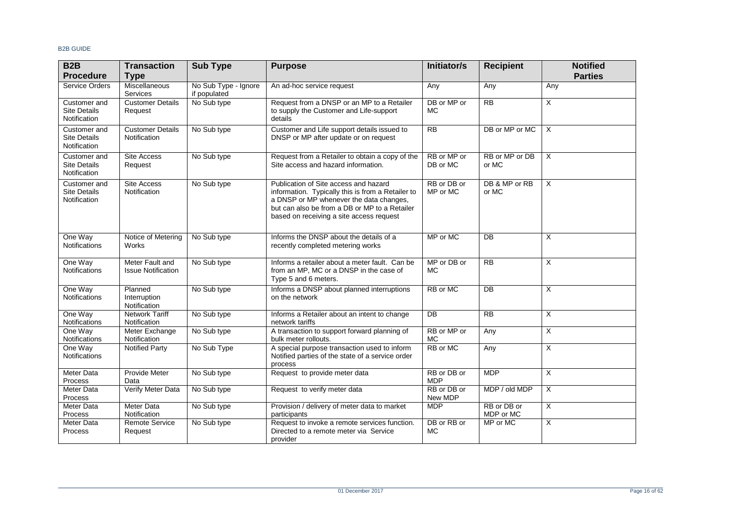| B <sub>2</sub> B                                    | <b>Transaction</b>                             | <b>Sub Type</b>                      | <b>Purpose</b>                                                                                                                                                                                                                     | Initiator/s               | <b>Recipient</b>         | <b>Notified</b>           |
|-----------------------------------------------------|------------------------------------------------|--------------------------------------|------------------------------------------------------------------------------------------------------------------------------------------------------------------------------------------------------------------------------------|---------------------------|--------------------------|---------------------------|
| <b>Procedure</b>                                    | <b>Type</b>                                    |                                      |                                                                                                                                                                                                                                    |                           |                          | <b>Parties</b>            |
| Service Orders                                      | <b>Miscellaneous</b><br><b>Services</b>        | No Sub Type - Ignore<br>if populated | An ad-hoc service request                                                                                                                                                                                                          | Any                       | Any                      | Any                       |
| Customer and<br><b>Site Details</b><br>Notification | <b>Customer Details</b><br>Request             | No Sub type                          | Request from a DNSP or an MP to a Retailer<br>to supply the Customer and Life-support<br>details                                                                                                                                   | DB or MP or<br><b>MC</b>  | RB                       | $\overline{X}$            |
| Customer and<br><b>Site Details</b><br>Notification | <b>Customer Details</b><br><b>Notification</b> | No Sub type                          | Customer and Life support details issued to<br>DNSP or MP after update or on request                                                                                                                                               | R <sub>B</sub>            | DB or MP or MC           | $\overline{X}$            |
| Customer and<br>Site Details<br>Notification        | <b>Site Access</b><br>Request                  | No Sub type                          | Request from a Retailer to obtain a copy of the<br>Site access and hazard information.                                                                                                                                             | RB or MP or<br>DB or MC   | RB or MP or DB<br>or MC  | X                         |
| Customer and<br><b>Site Details</b><br>Notification | <b>Site Access</b><br><b>Notification</b>      | No Sub type                          | Publication of Site access and hazard<br>information. Typically this is from a Retailer to<br>a DNSP or MP whenever the data changes,<br>but can also be from a DB or MP to a Retailer<br>based on receiving a site access request | RB or DB or<br>MP or MC   | DB & MP or RB<br>or MC   | $\overline{\mathsf{x}}$   |
| One Way<br><b>Notifications</b>                     | Notice of Metering<br><b>Works</b>             | No Sub type                          | Informs the DNSP about the details of a<br>recently completed metering works                                                                                                                                                       | MP or MC                  | DB                       | X                         |
| One Way<br><b>Notifications</b>                     | Meter Fault and<br><b>Issue Notification</b>   | No Sub type                          | Informs a retailer about a meter fault. Can be<br>from an MP, MC or a DNSP in the case of<br>Type 5 and 6 meters.                                                                                                                  | MP or DB or<br><b>MC</b>  | RB                       | X                         |
| One Way<br><b>Notifications</b>                     | Planned<br>Interruption<br>Notification        | No Sub type                          | Informs a DNSP about planned interruptions<br>on the network                                                                                                                                                                       | RB or MC                  | $\overline{DB}$          | X                         |
| One Way<br>Notifications                            | <b>Network Tariff</b><br>Notification          | No Sub type                          | Informs a Retailer about an intent to change<br>network tariffs                                                                                                                                                                    | $\overline{DB}$           | RB                       | X                         |
| One Way<br>Notifications                            | Meter Exchange<br>Notification                 | No Sub type                          | A transaction to support forward planning of<br>bulk meter rollouts.                                                                                                                                                               | RB or MP or<br><b>MC</b>  | Any                      | X                         |
| One Way<br><b>Notifications</b>                     | <b>Notified Party</b>                          | No Sub Type                          | A special purpose transaction used to inform<br>Notified parties of the state of a service order<br>process                                                                                                                        | RB or MC                  | Any                      | $\boldsymbol{\mathsf{X}}$ |
| <b>Meter Data</b><br>Process                        | <b>Provide Meter</b><br>Data                   | No Sub type                          | Request to provide meter data                                                                                                                                                                                                      | RB or DB or<br><b>MDP</b> | <b>MDP</b>               | X                         |
| Meter Data<br>Process                               | Verify Meter Data                              | No Sub type                          | Request to verify meter data                                                                                                                                                                                                       | RB or DB or<br>New MDP    | MDP / old MDP            | X                         |
| Meter Data<br>Process                               | Meter Data<br>Notification                     | No Sub type                          | Provision / delivery of meter data to market<br>participants                                                                                                                                                                       | <b>MDP</b>                | RB or DB or<br>MDP or MC | $\overline{\mathsf{x}}$   |
| Meter Data<br>Process                               | <b>Remote Service</b><br>Request               | No Sub type                          | Request to invoke a remote services function.<br>Directed to a remote meter via Service<br>provider                                                                                                                                | DB or RB or<br><b>MC</b>  | MP or MC                 | X                         |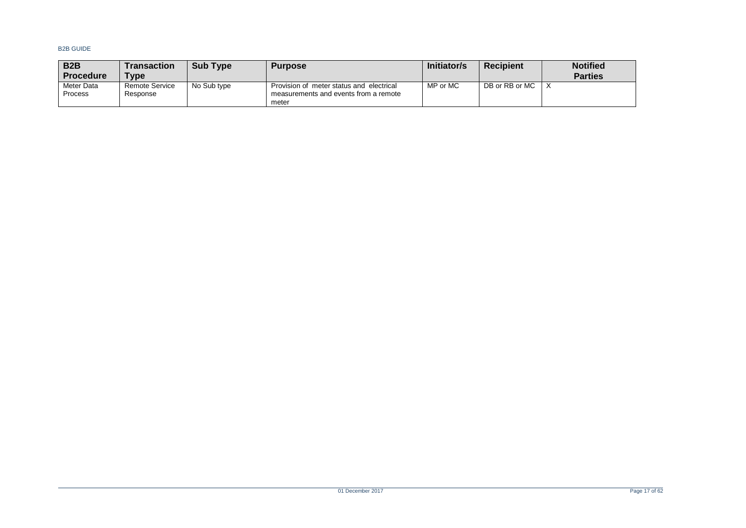| B <sub>2</sub> B<br><b>Procedure</b> | Transaction<br><b>Type</b> | <b>Sub Type</b> | <b>Purpose</b>                                                                             | Initiator/s | <b>Recipient</b> | <b>Notified</b><br><b>Parties</b> |
|--------------------------------------|----------------------------|-----------------|--------------------------------------------------------------------------------------------|-------------|------------------|-----------------------------------|
| Meter Data<br><b>Process</b>         | Remote Service<br>Response | No Sub type     | Provision of meter status and electrical<br>measurements and events from a remote<br>meter | MP or MC    | DB or RB or MC   |                                   |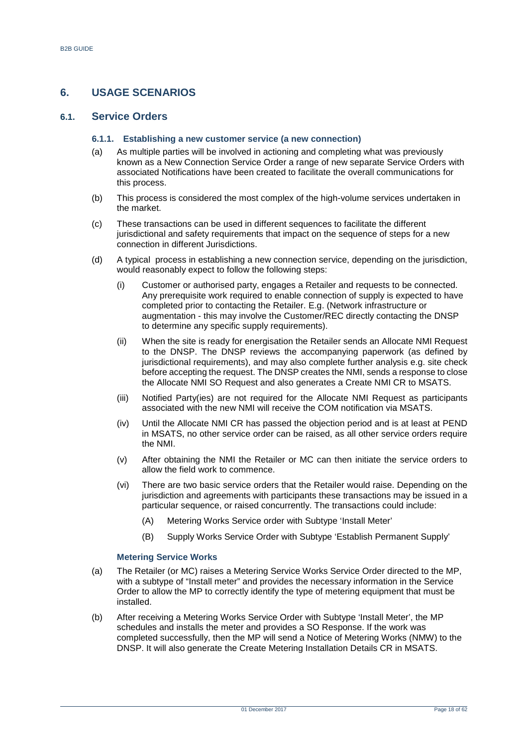## <span id="page-17-0"></span>**6. USAGE SCENARIOS**

## <span id="page-17-1"></span>**6.1. Service Orders**

#### **6.1.1. Establishing a new customer service (a new connection)**

- (a) As multiple parties will be involved in actioning and completing what was previously known as a New Connection Service Order a range of new separate Service Orders with associated Notifications have been created to facilitate the overall communications for this process.
- (b) This process is considered the most complex of the high-volume services undertaken in the market.
- (c) These transactions can be used in different sequences to facilitate the different jurisdictional and safety requirements that impact on the sequence of steps for a new connection in different Jurisdictions.
- (d) A typical process in establishing a new connection service, depending on the jurisdiction, would reasonably expect to follow the following steps:
	- (i) Customer or authorised party, engages a Retailer and requests to be connected. Any prerequisite work required to enable connection of supply is expected to have completed prior to contacting the Retailer. E.g. (Network infrastructure or augmentation - this may involve the Customer/REC directly contacting the DNSP to determine any specific supply requirements).
	- (ii) When the site is ready for energisation the Retailer sends an Allocate NMI Request to the DNSP. The DNSP reviews the accompanying paperwork (as defined by jurisdictional requirements), and may also complete further analysis e.g. site check before accepting the request. The DNSP creates the NMI, sends a response to close the Allocate NMI SO Request and also generates a Create NMI CR to MSATS.
	- (iii) Notified Party(ies) are not required for the Allocate NMI Request as participants associated with the new NMI will receive the COM notification via MSATS.
	- (iv) Until the Allocate NMI CR has passed the objection period and is at least at PEND in MSATS, no other service order can be raised, as all other service orders require the NMI.
	- (v) After obtaining the NMI the Retailer or MC can then initiate the service orders to allow the field work to commence.
	- (vi) There are two basic service orders that the Retailer would raise. Depending on the jurisdiction and agreements with participants these transactions may be issued in a particular sequence, or raised concurrently. The transactions could include:
		- (A) Metering Works Service order with Subtype 'Install Meter'
		- (B) Supply Works Service Order with Subtype 'Establish Permanent Supply'

#### **Metering Service Works**

- (a) The Retailer (or MC) raises a Metering Service Works Service Order directed to the MP, with a subtype of "Install meter" and provides the necessary information in the Service Order to allow the MP to correctly identify the type of metering equipment that must be installed.
- (b) After receiving a Metering Works Service Order with Subtype 'Install Meter', the MP schedules and installs the meter and provides a SO Response. If the work was completed successfully, then the MP will send a Notice of Metering Works (NMW) to the DNSP. It will also generate the Create Metering Installation Details CR in MSATS.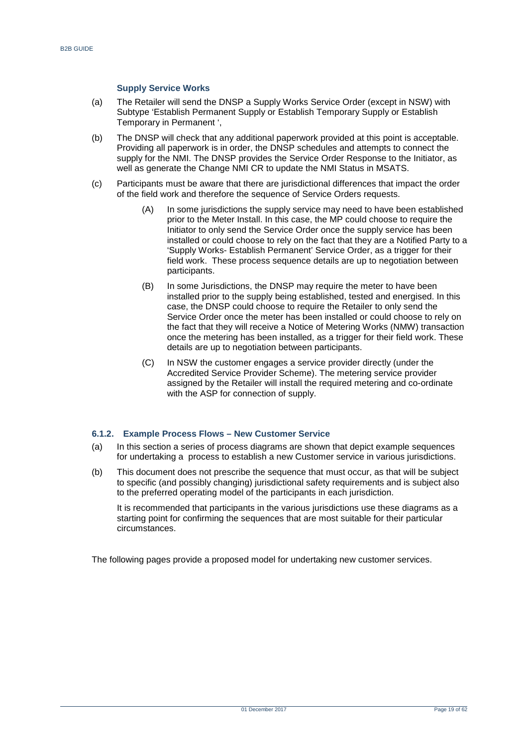#### **Supply Service Works**

- (a) The Retailer will send the DNSP a Supply Works Service Order (except in NSW) with Subtype 'Establish Permanent Supply or Establish Temporary Supply or Establish Temporary in Permanent ',
- (b) The DNSP will check that any additional paperwork provided at this point is acceptable. Providing all paperwork is in order, the DNSP schedules and attempts to connect the supply for the NMI. The DNSP provides the Service Order Response to the Initiator, as well as generate the Change NMI CR to update the NMI Status in MSATS.
- (c) Participants must be aware that there are jurisdictional differences that impact the order of the field work and therefore the sequence of Service Orders requests.
	- (A) In some jurisdictions the supply service may need to have been established prior to the Meter Install. In this case, the MP could choose to require the Initiator to only send the Service Order once the supply service has been installed or could choose to rely on the fact that they are a Notified Party to a 'Supply Works- Establish Permanent' Service Order, as a trigger for their field work. These process sequence details are up to negotiation between participants.
	- (B) In some Jurisdictions, the DNSP may require the meter to have been installed prior to the supply being established, tested and energised. In this case, the DNSP could choose to require the Retailer to only send the Service Order once the meter has been installed or could choose to rely on the fact that they will receive a Notice of Metering Works (NMW) transaction once the metering has been installed, as a trigger for their field work. These details are up to negotiation between participants.
	- (C) In NSW the customer engages a service provider directly (under the Accredited Service Provider Scheme). The metering service provider assigned by the Retailer will install the required metering and co-ordinate with the ASP for connection of supply.

#### **6.1.2. Example Process Flows – New Customer Service**

- (a) In this section a series of process diagrams are shown that depict example sequences for undertaking a process to establish a new Customer service in various jurisdictions.
- (b) This document does not prescribe the sequence that must occur, as that will be subject to specific (and possibly changing) jurisdictional safety requirements and is subject also to the preferred operating model of the participants in each jurisdiction.

It is recommended that participants in the various jurisdictions use these diagrams as a starting point for confirming the sequences that are most suitable for their particular circumstances.

The following pages provide a proposed model for undertaking new customer services.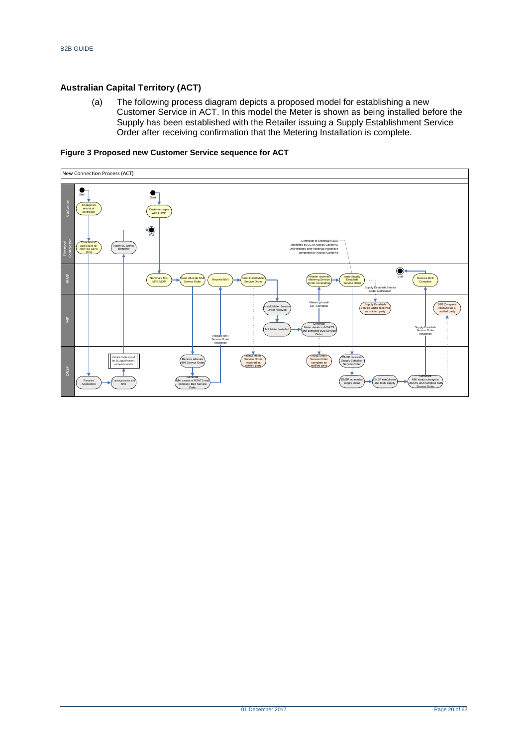## **Australian Capital Territory (ACT)**

(a) The following process diagram depicts a proposed model for establishing a new Customer Service in ACT. In this model the Meter is shown as being installed before the Supply has been established with the Retailer issuing a Supply Establishment Service Order after receiving confirmation that the Metering Installation is complete.

## <span id="page-19-0"></span>**Figure 3 Proposed new Customer Service sequence for ACT**

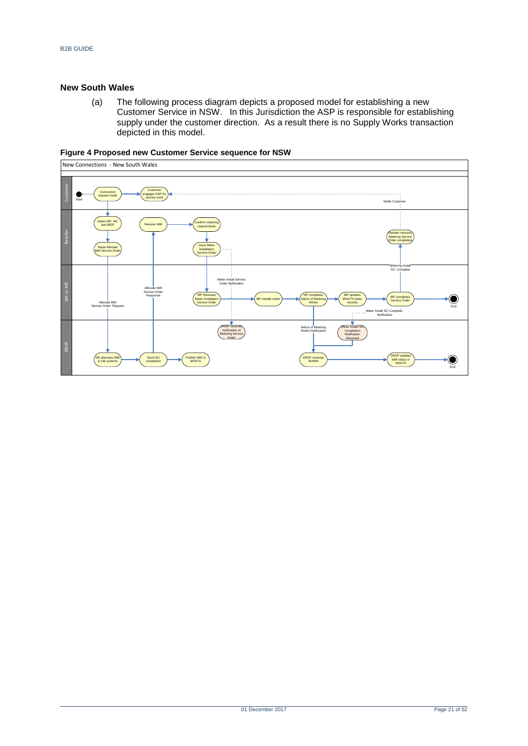#### **New South Wales**

(a) The following process diagram depicts a proposed model for establishing a new Customer Service in NSW. In this Jurisdiction the ASP is responsible for establishing supply under the customer direction. As a result there is no Supply Works transaction depicted in this model.



<span id="page-20-0"></span>**Figure 4 Proposed new Customer Service sequence for NSW**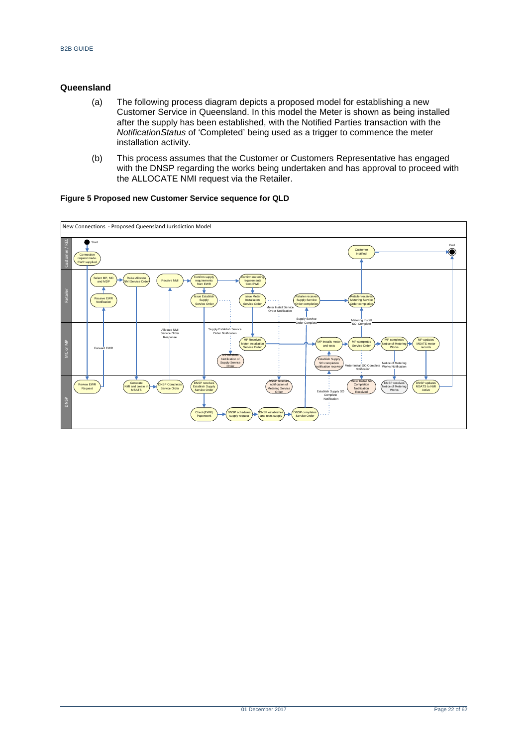### **Queensland**

- (a) The following process diagram depicts a proposed model for establishing a new Customer Service in Queensland. In this model the Meter is shown as being installed after the supply has been established, with the Notified Parties transaction with the *NotificationStatus* of 'Completed' being used as a trigger to commence the meter installation activity.
- (b) This process assumes that the Customer or Customers Representative has engaged with the DNSP regarding the works being undertaken and has approval to proceed with the ALLOCATE NMI request via the Retailer.

#### <span id="page-21-0"></span>**Figure 5 Proposed new Customer Service sequence for QLD**

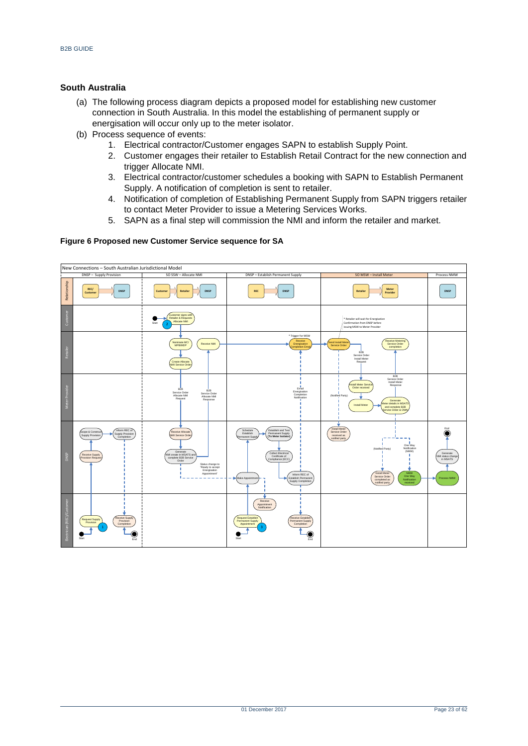## **South Australia**

- (a) The following process diagram depicts a proposed model for establishing new customer connection in South Australia. In this model the establishing of permanent supply or energisation will occur only up to the meter isolator.
- (b) Process sequence of events:
	- 1. Electrical contractor/Customer engages SAPN to establish Supply Point.
	- 2. Customer engages their retailer to Establish Retail Contract for the new connection and trigger Allocate NMI.
	- 3. Electrical contractor/customer schedules a booking with SAPN to Establish Permanent Supply. A notification of completion is sent to retailer.
	- 4. Notification of completion of Establishing Permanent Supply from SAPN triggers retailer to contact Meter Provider to issue a Metering Services Works.
	- 5. SAPN as a final step will commission the NMI and inform the retailer and market.

#### <span id="page-22-0"></span>**Figure 6 Proposed new Customer Service sequence for SA**

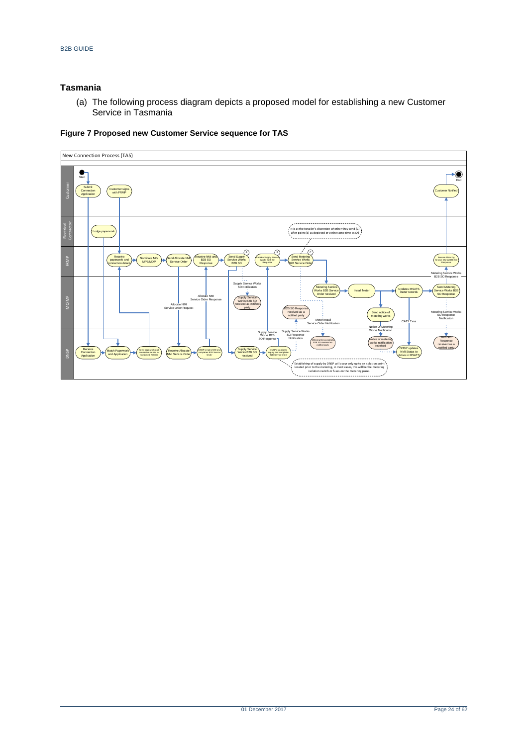## **Tasmania**

(a) The following process diagram depicts a proposed model for establishing a new Customer Service in Tasmania



## <span id="page-23-0"></span>**Figure 7 Proposed new Customer Service sequence for TAS**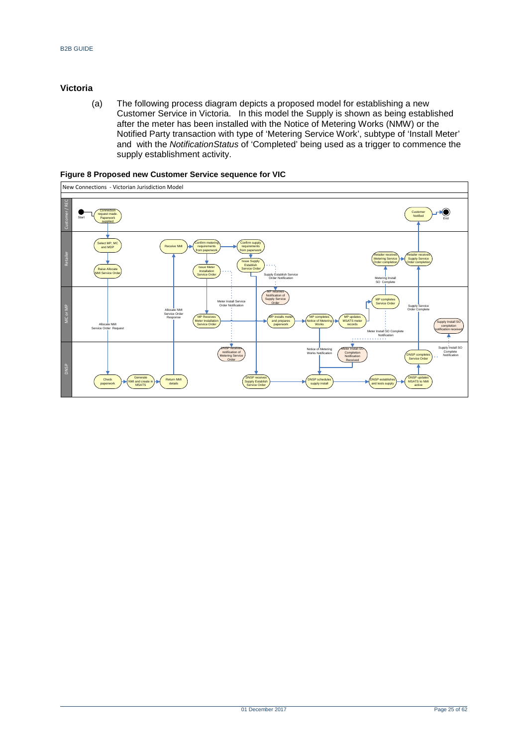## **Victoria**

(a) The following process diagram depicts a proposed model for establishing a new Customer Service in Victoria. In this model the Supply is shown as being established after the meter has been installed with the Notice of Metering Works (NMW) or the Notified Party transaction with type of 'Metering Service Work', subtype of 'Install Meter' and with the *NotificationStatus* of 'Completed' being used as a trigger to commence the supply establishment activity.

|                |                                            | New Connections - Victorian Jurisdiction Model |                                                                                                                                                |                                                                                                                                                                |                                                                                                                                                        |                                                                                                                 |                                                                                                                                          |
|----------------|--------------------------------------------|------------------------------------------------|------------------------------------------------------------------------------------------------------------------------------------------------|----------------------------------------------------------------------------------------------------------------------------------------------------------------|--------------------------------------------------------------------------------------------------------------------------------------------------------|-----------------------------------------------------------------------------------------------------------------|------------------------------------------------------------------------------------------------------------------------------------------|
|                |                                            |                                                |                                                                                                                                                |                                                                                                                                                                |                                                                                                                                                        |                                                                                                                 |                                                                                                                                          |
| Customer / REC | Connection<br>Start<br>supplied            | request made.<br>Paperwork                     |                                                                                                                                                |                                                                                                                                                                |                                                                                                                                                        |                                                                                                                 | Customer<br>Notified<br>End                                                                                                              |
| Retailer       | Select MP, MC<br>and MDP<br>Raise Allocate | <b>NMI Service Order</b>                       | Confirm metering<br>Receive NMI<br>requirements<br>from paperwork<br><b>Issue Meter</b><br>Installation<br>Service Order                       | Confirm supply<br>requirements<br>from paperwork<br><b>Issue Supply</b><br>Establish<br><b>Service Order</b><br>Supply Establish Service<br>Order Notification |                                                                                                                                                        | <b>Retailer receives</b><br><b>Metering Service</b><br>٠<br>Order completion<br>Metering Install<br>SO Complete | Retailer receives<br><b>Supply Service</b><br>Order completion                                                                           |
| MC or MP       | Allocate NMI<br>Service Order Request      |                                                | Meter Install Service<br>Order Notification<br>Allocate NMI<br>Service Order<br>MP Receives<br>Response<br>Meter Installation<br>Service Order | <b>MP</b> receives<br>Notification of<br><b>Supply Service</b><br>Order<br>MP installs meter<br>and prepares<br>paperwork                                      | MP completes<br>MP updates<br><b>MSATS</b> meter<br><b>Votice of Metering</b><br>Works<br>records                                                      | MP completes<br>Service Order<br>Meter Install SO Complete<br>Notification<br>.                                 | Supply Service<br>Order Complete<br>Supply Install SO<br>completion<br>notification received                                             |
| <b>DNSP</b>    | Check<br>paperwork                         | Generate<br>NMI and create in<br><b>MSATS</b>  | <b>DNSP</b> receives<br>Metering Service<br>Order<br><b>Return NMI</b><br>details                                                              | notification of<br><b>DNSP</b> receives<br>Supply Establish<br>Service Order                                                                                   | ▼<br>Meter Install SC<br>Notice of Metering<br>Completion<br>Works Notification<br>Notification<br>Received<br><b>DNSP</b> schedules<br>supply install | <b>DNSP</b> establishes<br>and tests supply                                                                     | Supply Install SO<br>Complete<br>DNSP completes<br>Notification<br>Service Order<br><b>DNSP</b> updates<br><b>MSATS</b> to NMI<br>active |

#### <span id="page-24-0"></span>**Figure 8 Proposed new Customer Service sequence for VIC**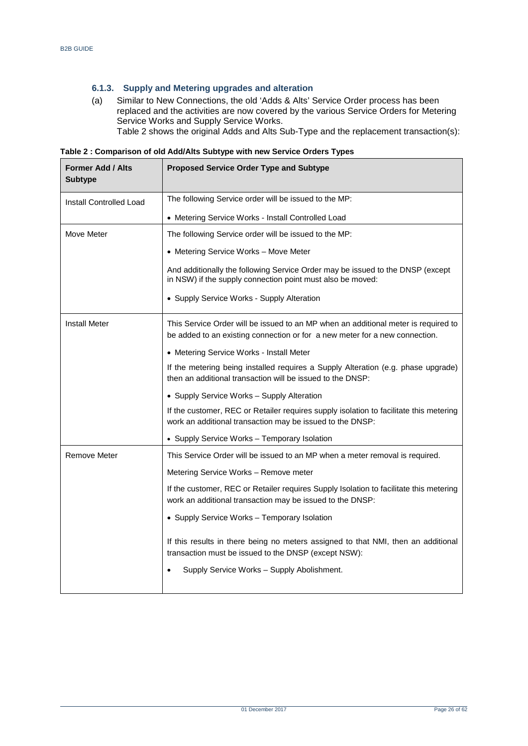## **6.1.3. Supply and Metering upgrades and alteration**

(a) Similar to New Connections, the old 'Adds & Alts' Service Order process has been replaced and the activities are now covered by the various Service Orders for Metering Service Works and Supply Service Works. [Table 2](#page-25-0) shows the original Adds and Alts Sub-Type and the replacement transaction(s):

<span id="page-25-0"></span>**Table 2 : Comparison of old Add/Alts Subtype with new Service Orders Types**

| <b>Former Add / Alts</b><br><b>Subtype</b> | <b>Proposed Service Order Type and Subtype</b>                                                                                                                    |  |  |  |  |
|--------------------------------------------|-------------------------------------------------------------------------------------------------------------------------------------------------------------------|--|--|--|--|
| <b>Install Controlled Load</b>             | The following Service order will be issued to the MP:                                                                                                             |  |  |  |  |
|                                            | • Metering Service Works - Install Controlled Load                                                                                                                |  |  |  |  |
| Move Meter                                 | The following Service order will be issued to the MP:                                                                                                             |  |  |  |  |
|                                            | • Metering Service Works - Move Meter                                                                                                                             |  |  |  |  |
|                                            | And additionally the following Service Order may be issued to the DNSP (except<br>in NSW) if the supply connection point must also be moved:                      |  |  |  |  |
|                                            | • Supply Service Works - Supply Alteration                                                                                                                        |  |  |  |  |
| <b>Install Meter</b>                       | This Service Order will be issued to an MP when an additional meter is required to<br>be added to an existing connection or for a new meter for a new connection. |  |  |  |  |
|                                            | • Metering Service Works - Install Meter                                                                                                                          |  |  |  |  |
|                                            | If the metering being installed requires a Supply Alteration (e.g. phase upgrade)<br>then an additional transaction will be issued to the DNSP:                   |  |  |  |  |
|                                            | • Supply Service Works - Supply Alteration                                                                                                                        |  |  |  |  |
|                                            | If the customer, REC or Retailer requires supply isolation to facilitate this metering<br>work an additional transaction may be issued to the DNSP:               |  |  |  |  |
|                                            | • Supply Service Works - Temporary Isolation                                                                                                                      |  |  |  |  |
| Remove Meter                               | This Service Order will be issued to an MP when a meter removal is required.                                                                                      |  |  |  |  |
|                                            | Metering Service Works - Remove meter                                                                                                                             |  |  |  |  |
|                                            | If the customer, REC or Retailer requires Supply Isolation to facilitate this metering<br>work an additional transaction may be issued to the DNSP:               |  |  |  |  |
|                                            | • Supply Service Works - Temporary Isolation                                                                                                                      |  |  |  |  |
|                                            | If this results in there being no meters assigned to that NMI, then an additional<br>transaction must be issued to the DNSP (except NSW):                         |  |  |  |  |
|                                            | Supply Service Works - Supply Abolishment.                                                                                                                        |  |  |  |  |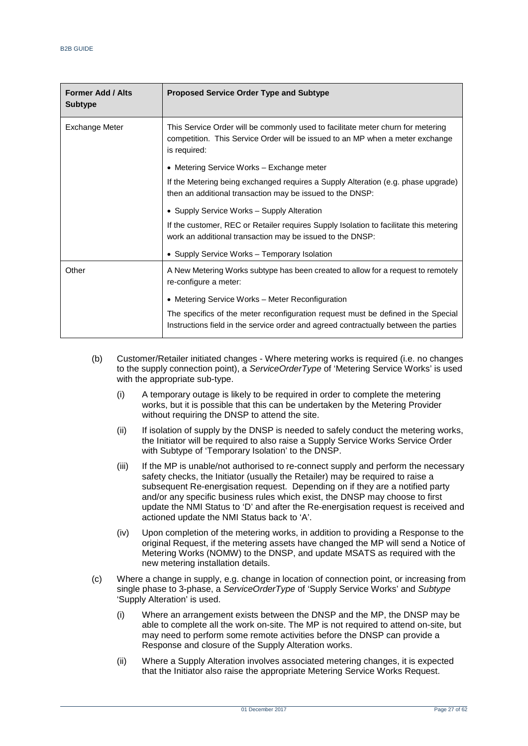| <b>Former Add / Alts</b><br><b>Subtype</b> | <b>Proposed Service Order Type and Subtype</b>                                                                                                                                   |
|--------------------------------------------|----------------------------------------------------------------------------------------------------------------------------------------------------------------------------------|
| Exchange Meter                             | This Service Order will be commonly used to facilitate meter churn for metering<br>competition. This Service Order will be issued to an MP when a meter exchange<br>is required: |
|                                            | • Metering Service Works – Exchange meter                                                                                                                                        |
|                                            | If the Metering being exchanged requires a Supply Alteration (e.g. phase upgrade)<br>then an additional transaction may be issued to the DNSP:                                   |
|                                            | • Supply Service Works - Supply Alteration                                                                                                                                       |
|                                            | If the customer, REC or Retailer requires Supply Isolation to facilitate this metering<br>work an additional transaction may be issued to the DNSP:                              |
|                                            | • Supply Service Works - Temporary Isolation                                                                                                                                     |
| Other                                      | A New Metering Works subtype has been created to allow for a request to remotely<br>re-configure a meter:                                                                        |
|                                            | • Metering Service Works – Meter Reconfiguration                                                                                                                                 |
|                                            | The specifics of the meter reconfiguration request must be defined in the Special<br>Instructions field in the service order and agreed contractually between the parties        |

- (b) Customer/Retailer initiated changes Where metering works is required (i.e. no changes to the supply connection point), a *ServiceOrderType* of 'Metering Service Works' is used with the appropriate sub-type.
	- (i) A temporary outage is likely to be required in order to complete the metering works, but it is possible that this can be undertaken by the Metering Provider without requiring the DNSP to attend the site.
	- (ii) If isolation of supply by the DNSP is needed to safely conduct the metering works, the Initiator will be required to also raise a Supply Service Works Service Order with Subtype of 'Temporary Isolation' to the DNSP.
	- (iii) If the MP is unable/not authorised to re-connect supply and perform the necessary safety checks, the Initiator (usually the Retailer) may be required to raise a subsequent Re-energisation request. Depending on if they are a notified party and/or any specific business rules which exist, the DNSP may choose to first update the NMI Status to 'D' and after the Re-energisation request is received and actioned update the NMI Status back to 'A'.
	- (iv) Upon completion of the metering works, in addition to providing a Response to the original Request, if the metering assets have changed the MP will send a Notice of Metering Works (NOMW) to the DNSP, and update MSATS as required with the new metering installation details.
- (c) Where a change in supply, e.g. change in location of connection point, or increasing from single phase to 3-phase, a *ServiceOrderType* of 'Supply Service Works' and *Subtype* 'Supply Alteration' is used.
	- (i) Where an arrangement exists between the DNSP and the MP, the DNSP may be able to complete all the work on-site. The MP is not required to attend on-site, but may need to perform some remote activities before the DNSP can provide a Response and closure of the Supply Alteration works.
	- (ii) Where a Supply Alteration involves associated metering changes, it is expected that the Initiator also raise the appropriate Metering Service Works Request.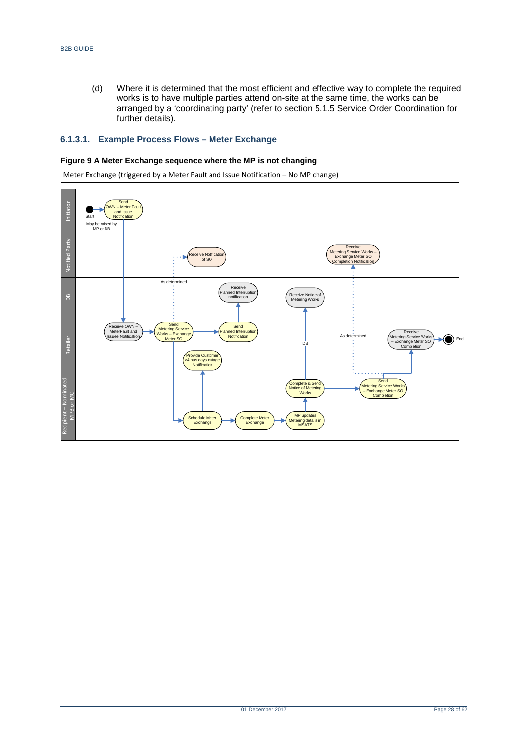(d) Where it is determined that the most efficient and effective way to complete the required works is to have multiple parties attend on-site at the same time, the works can be arranged by a 'coordinating party' (refer to section 5.1.5 Service Order Coordination for further details).

#### **6.1.3.1. Example Process Flows – Meter Exchange**

<span id="page-27-0"></span>

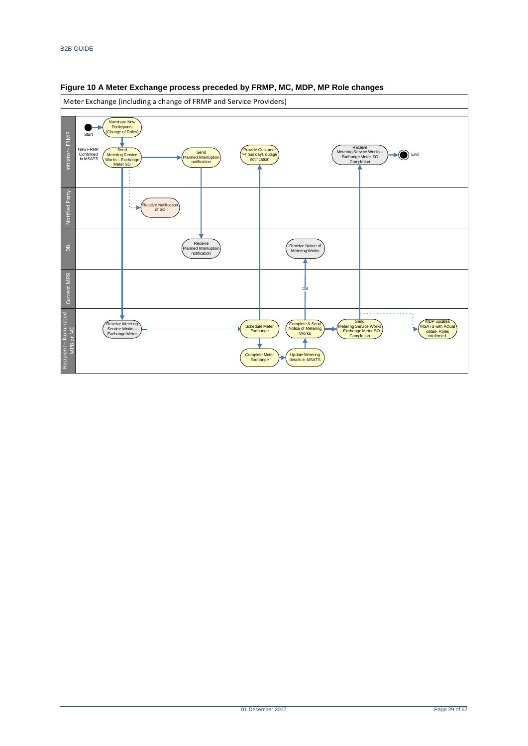

#### <span id="page-28-0"></span>**Figure 10 A Meter Exchange process preceded by FRMP, MC, MDP, MP Role changes**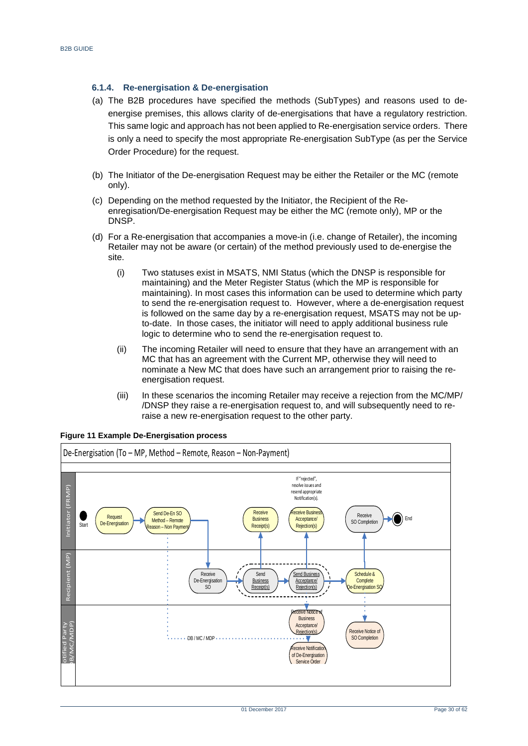## **6.1.4. Re-energisation & De-energisation**

- (a) The B2B procedures have specified the methods (SubTypes) and reasons used to deenergise premises, this allows clarity of de-energisations that have a regulatory restriction. This same logic and approach has not been applied to Re-energisation service orders. There is only a need to specify the most appropriate Re-energisation SubType (as per the Service Order Procedure) for the request.
- (b) The Initiator of the De-energisation Request may be either the Retailer or the MC (remote only).
- (c) Depending on the method requested by the Initiator, the Recipient of the Reenregisation/De-energisation Request may be either the MC (remote only), MP or the DNSP.
- (d) For a Re-energisation that accompanies a move-in (i.e. change of Retailer), the incoming Retailer may not be aware (or certain) of the method previously used to de-energise the site.
	- (i) Two statuses exist in MSATS, NMI Status (which the DNSP is responsible for maintaining) and the Meter Register Status (which the MP is responsible for maintaining). In most cases this information can be used to determine which party to send the re-energisation request to. However, where a de-energisation request is followed on the same day by a re-energisation request, MSATS may not be upto-date. In those cases, the initiator will need to apply additional business rule logic to determine who to send the re-energisation request to.
	- (ii) The incoming Retailer will need to ensure that they have an arrangement with an MC that has an agreement with the Current MP, otherwise they will need to nominate a New MC that does have such an arrangement prior to raising the reenergisation request.
	- (iii) In these scenarios the incoming Retailer may receive a rejection from the MC/MP/ /DNSP they raise a re-energisation request to, and will subsequently need to reraise a new re-energisation request to the other party.



#### <span id="page-29-0"></span>**Figure 11 Example De-Energisation process**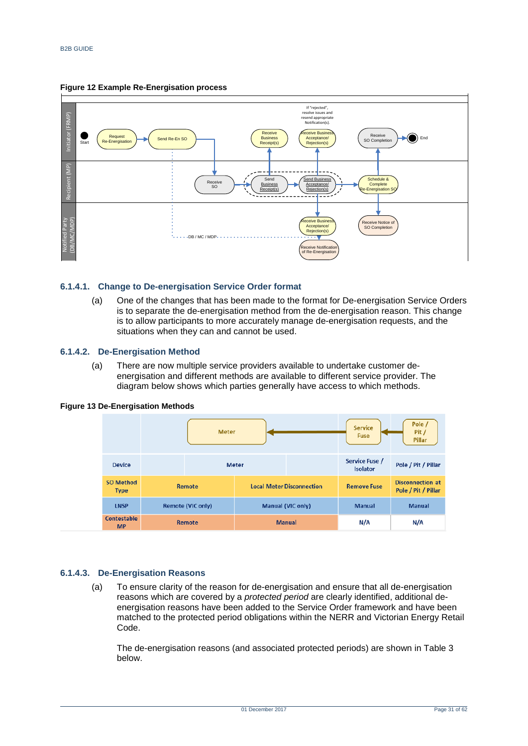<span id="page-30-0"></span>



#### **6.1.4.1. Change to De-energisation Service Order format**

(a) One of the changes that has been made to the format for De-energisation Service Orders is to separate the de-energisation method from the de-energisation reason. This change is to allow participants to more accurately manage de-energisation requests, and the situations when they can and cannot be used.

#### **6.1.4.2. De-Energisation Method**

(a) There are now multiple service providers available to undertake customer deenergisation and different methods are available to different service provider. The diagram below shows which parties generally have access to which methods.

|                                 |                          | <b>Meter</b> |              |                                  | Service<br><b>Fuse</b>            | Pole /<br>Pit /<br>Pillar                      |
|---------------------------------|--------------------------|--------------|--------------|----------------------------------|-----------------------------------|------------------------------------------------|
| <b>Device</b>                   |                          |              | <b>Meter</b> |                                  | Service Fuse /<br><b>Isolator</b> | Pole / Pit / Pillar                            |
| <b>SO Method</b><br><b>Type</b> | <b>Remote</b>            |              |              | <b>Local Meter Disconnection</b> | <b>Remove Fuse</b>                | <b>Disconnection at</b><br>Pole / Pit / Pillar |
| <b>LNSP</b>                     | <b>Remote (VIC only)</b> |              |              | <b>Manual (VIC only)</b>         | <b>Manual</b>                     | <b>Manual</b>                                  |
| <b>Contestable</b><br><b>MP</b> | <b>Remote</b>            |              |              | <b>Manual</b>                    | N/A                               | N/A                                            |

#### <span id="page-30-1"></span>**Figure 13 De-Energisation Methods**

## **6.1.4.3. De-Energisation Reasons**

(a) To ensure clarity of the reason for de-energisation and ensure that all de-energisation reasons which are covered by a *protected period* are clearly identified, additional deenergisation reasons have been added to the Service Order framework and have been matched to the protected period obligations within the NERR and Victorian Energy Retail Code.

The de-energisation reasons (and associated protected periods) are shown in [Table 3](#page-31-0) below.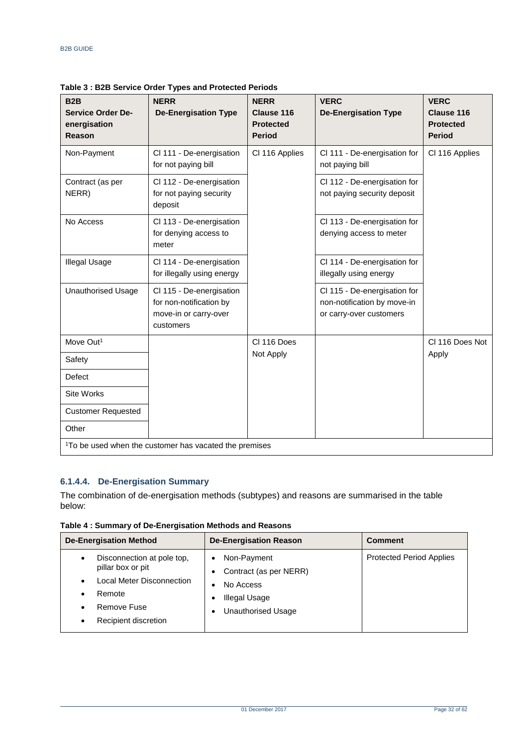| B <sub>2</sub> B<br><b>Service Order De-</b><br>energisation<br><b>Reason</b> | <b>NERR</b><br><b>De-Energisation Type</b>                                                | <b>NERR</b><br><b>Clause 116</b><br><b>Protected</b><br><b>Period</b> | <b>VERC</b><br><b>De-Energisation Type</b>                                             | <b>VERC</b><br><b>Clause 116</b><br><b>Protected</b><br><b>Period</b> |
|-------------------------------------------------------------------------------|-------------------------------------------------------------------------------------------|-----------------------------------------------------------------------|----------------------------------------------------------------------------------------|-----------------------------------------------------------------------|
| Non-Payment                                                                   | Cl 111 - De-energisation<br>for not paying bill                                           | CI 116 Applies                                                        | Cl 111 - De-energisation for<br>not paying bill                                        | CI 116 Applies                                                        |
| Contract (as per<br>NERR)                                                     | Cl 112 - De-energisation<br>for not paying security<br>deposit                            |                                                                       | Cl 112 - De-energisation for<br>not paying security deposit                            |                                                                       |
| No Access                                                                     | Cl 113 - De-energisation<br>for denying access to<br>meter                                |                                                                       | Cl 113 - De-energisation for<br>denying access to meter                                |                                                                       |
| <b>Illegal Usage</b>                                                          | Cl 114 - De-energisation<br>for illegally using energy                                    |                                                                       | Cl 114 - De-energisation for<br>illegally using energy                                 |                                                                       |
| <b>Unauthorised Usage</b>                                                     | Cl 115 - De-energisation<br>for non-notification by<br>move-in or carry-over<br>customers |                                                                       | Cl 115 - De-energisation for<br>non-notification by move-in<br>or carry-over customers |                                                                       |
| Move Out <sup>1</sup>                                                         |                                                                                           | CI 116 Does                                                           |                                                                                        | CI 116 Does Not                                                       |
| Safety                                                                        |                                                                                           | Not Apply                                                             |                                                                                        | Apply                                                                 |
| Defect                                                                        |                                                                                           |                                                                       |                                                                                        |                                                                       |
| <b>Site Works</b>                                                             |                                                                                           |                                                                       |                                                                                        |                                                                       |
| <b>Customer Requested</b>                                                     |                                                                                           |                                                                       |                                                                                        |                                                                       |
| Other                                                                         |                                                                                           |                                                                       |                                                                                        |                                                                       |
| <sup>1</sup> To be used when the customer has vacated the premises            |                                                                                           |                                                                       |                                                                                        |                                                                       |

<span id="page-31-0"></span>**Table 3 : B2B Service Order Types and Protected Periods**

## **6.1.4.4. De-Energisation Summary**

The combination of de-energisation methods (subtypes) and reasons are summarised in the table below:

<span id="page-31-1"></span>**Table 4 : Summary of De-Energisation Methods and Reasons**

| <b>De-Energisation Method</b>                                                                                                                                                                  | <b>De-Energisation Reason</b>                                                             | <b>Comment</b>                  |
|------------------------------------------------------------------------------------------------------------------------------------------------------------------------------------------------|-------------------------------------------------------------------------------------------|---------------------------------|
| Disconnection at pole top,<br>$\bullet$<br>pillar box or pit<br>Local Meter Disconnection<br>$\bullet$<br>Remote<br>$\bullet$<br>Remove Fuse<br>$\bullet$<br>Recipient discretion<br>$\bullet$ | Non-Payment<br>Contract (as per NERR)<br>No Access<br>Illegal Usage<br>Unauthorised Usage | <b>Protected Period Applies</b> |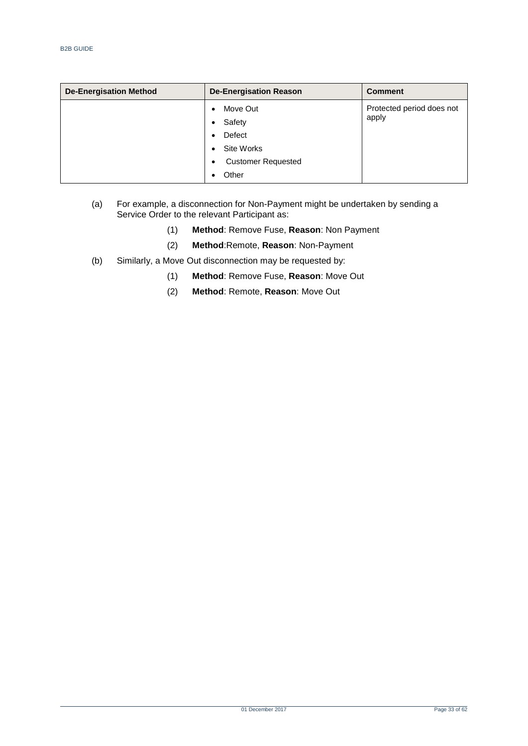| <b>De-Energisation Method</b> | <b>De-Energisation Reason</b>  | <b>Comment</b>            |
|-------------------------------|--------------------------------|---------------------------|
|                               | Move Out<br>$\bullet$          | Protected period does not |
|                               | Safety<br>$\bullet$            | apply                     |
|                               | Defect                         |                           |
|                               | Site Works<br>$\bullet$        |                           |
|                               | <b>Customer Requested</b><br>٠ |                           |
|                               | Other                          |                           |

#### (a) For example, a disconnection for Non-Payment might be undertaken by sending a Service Order to the relevant Participant as:

- (1) **Method**: Remove Fuse, **Reason**: Non Payment
- (2) **Method**:Remote, **Reason**: Non-Payment
- (b) Similarly, a Move Out disconnection may be requested by:
	- (1) **Method**: Remove Fuse, **Reason**: Move Out
	- (2) **Method**: Remote, **Reason**: Move Out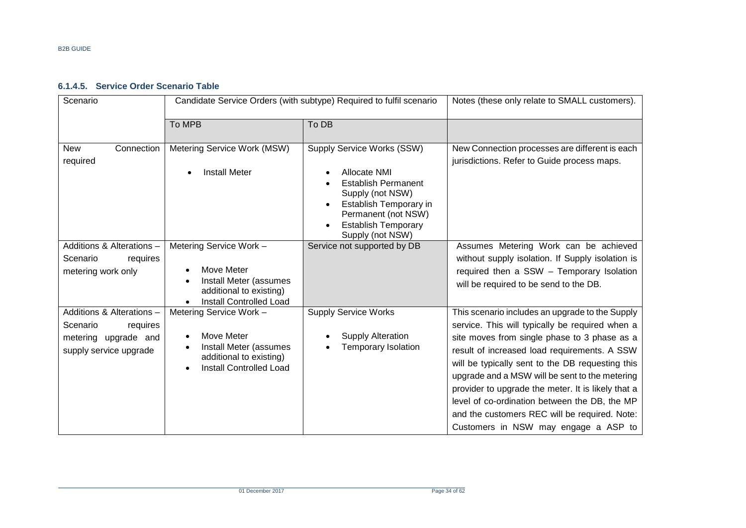## **6.1.4.5. Service Order Scenario Table**

| Scenario                                                                                            | Candidate Service Orders (with subtype) Required to fulfil scenario                                                          |                                                                                                                                                                                                                           | Notes (these only relate to SMALL customers).                                                                                                                                                                                                                                                                                                                                                                                                                                                            |
|-----------------------------------------------------------------------------------------------------|------------------------------------------------------------------------------------------------------------------------------|---------------------------------------------------------------------------------------------------------------------------------------------------------------------------------------------------------------------------|----------------------------------------------------------------------------------------------------------------------------------------------------------------------------------------------------------------------------------------------------------------------------------------------------------------------------------------------------------------------------------------------------------------------------------------------------------------------------------------------------------|
|                                                                                                     | To MPB                                                                                                                       | To DB                                                                                                                                                                                                                     |                                                                                                                                                                                                                                                                                                                                                                                                                                                                                                          |
| Connection<br><b>New</b><br>required                                                                | Metering Service Work (MSW)<br><b>Install Meter</b>                                                                          | Supply Service Works (SSW)<br>Allocate NMI<br><b>Establish Permanent</b><br>Supply (not NSW)<br>Establish Temporary in<br>$\bullet$<br>Permanent (not NSW)<br><b>Establish Temporary</b><br>$\bullet$<br>Supply (not NSW) | New Connection processes are different is each<br>jurisdictions. Refer to Guide process maps.                                                                                                                                                                                                                                                                                                                                                                                                            |
| Additions & Alterations -<br>requires<br>Scenario<br>metering work only                             | Metering Service Work -<br>Move Meter<br>Install Meter (assumes<br>additional to existing)<br><b>Install Controlled Load</b> | Service not supported by DB                                                                                                                                                                                               | Assumes Metering Work can be achieved<br>without supply isolation. If Supply isolation is<br>required then a SSW - Temporary Isolation<br>will be required to be send to the DB.                                                                                                                                                                                                                                                                                                                         |
| Additions & Alterations -<br>Scenario<br>requires<br>metering upgrade and<br>supply service upgrade | Metering Service Work -<br>Move Meter<br>Install Meter (assumes<br>additional to existing)<br><b>Install Controlled Load</b> | <b>Supply Service Works</b><br><b>Supply Alteration</b><br>Temporary Isolation                                                                                                                                            | This scenario includes an upgrade to the Supply<br>service. This will typically be required when a<br>site moves from single phase to 3 phase as a<br>result of increased load requirements. A SSW<br>will be typically sent to the DB requesting this<br>upgrade and a MSW will be sent to the metering<br>provider to upgrade the meter. It is likely that a<br>level of co-ordination between the DB, the MP<br>and the customers REC will be required. Note:<br>Customers in NSW may engage a ASP to |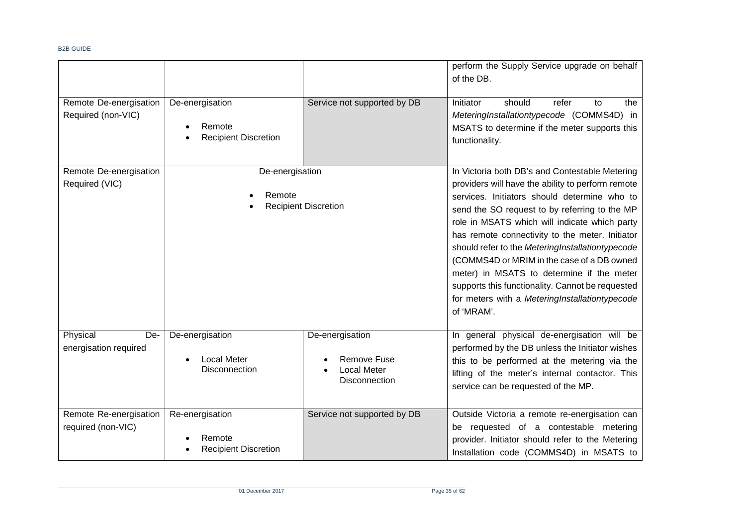|                                              |                                                          |                                                                              | perform the Supply Service upgrade on behalf<br>of the DB.                                                                                                                                                                                                                                                                                                                                                                                                                                                                                                                  |
|----------------------------------------------|----------------------------------------------------------|------------------------------------------------------------------------------|-----------------------------------------------------------------------------------------------------------------------------------------------------------------------------------------------------------------------------------------------------------------------------------------------------------------------------------------------------------------------------------------------------------------------------------------------------------------------------------------------------------------------------------------------------------------------------|
| Remote De-energisation<br>Required (non-VIC) | De-energisation<br>Remote<br><b>Recipient Discretion</b> | Service not supported by DB                                                  | should<br>refer<br>Initiator<br>to<br>the<br>MeteringInstallationtypecode (COMMS4D) in<br>MSATS to determine if the meter supports this<br>functionality.                                                                                                                                                                                                                                                                                                                                                                                                                   |
| Remote De-energisation<br>Required (VIC)     | De-energisation<br>Remote                                | <b>Recipient Discretion</b>                                                  | In Victoria both DB's and Contestable Metering<br>providers will have the ability to perform remote<br>services. Initiators should determine who to<br>send the SO request to by referring to the MP<br>role in MSATS which will indicate which party<br>has remote connectivity to the meter. Initiator<br>should refer to the MeteringInstallationtypecode<br>(COMMS4D or MRIM in the case of a DB owned<br>meter) in MSATS to determine if the meter<br>supports this functionality. Cannot be requested<br>for meters with a MeteringInstallationtypecode<br>of 'MRAM'. |
| Physical<br>De-<br>energisation required     | De-energisation<br><b>Local Meter</b><br>Disconnection   | De-energisation<br><b>Remove Fuse</b><br><b>Local Meter</b><br>Disconnection | In general physical de-energisation will be<br>performed by the DB unless the Initiator wishes<br>this to be performed at the metering via the<br>lifting of the meter's internal contactor. This<br>service can be requested of the MP.                                                                                                                                                                                                                                                                                                                                    |
| Remote Re-energisation<br>required (non-VIC) | Re-energisation<br>Remote<br><b>Recipient Discretion</b> | Service not supported by DB                                                  | Outside Victoria a remote re-energisation can<br>be requested of a contestable metering<br>provider. Initiator should refer to the Metering<br>Installation code (COMMS4D) in MSATS to                                                                                                                                                                                                                                                                                                                                                                                      |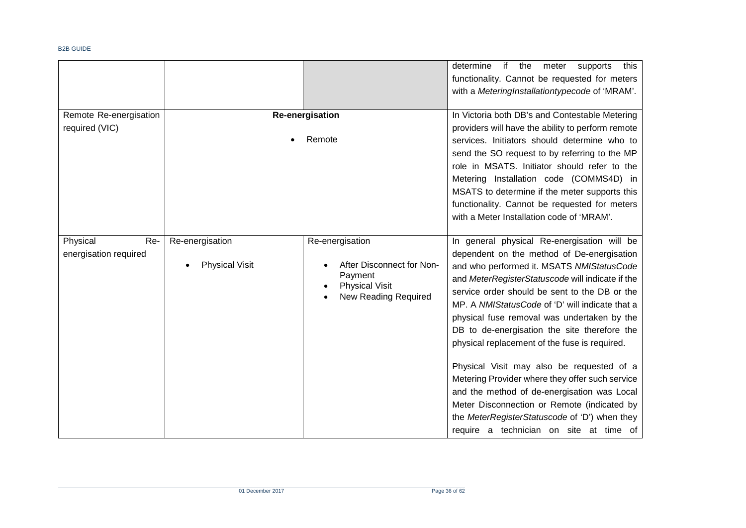|                                          |                                          |                                                                                                                 | if<br>determine<br>the<br>meter<br>supports<br>this<br>functionality. Cannot be requested for meters<br>with a MeteringInstallationtypecode of 'MRAM'.                                                                                                                                                                                                                                                                                                                                                                                                                                                                                                                                                                                   |
|------------------------------------------|------------------------------------------|-----------------------------------------------------------------------------------------------------------------|------------------------------------------------------------------------------------------------------------------------------------------------------------------------------------------------------------------------------------------------------------------------------------------------------------------------------------------------------------------------------------------------------------------------------------------------------------------------------------------------------------------------------------------------------------------------------------------------------------------------------------------------------------------------------------------------------------------------------------------|
| Remote Re-energisation<br>required (VIC) |                                          | <b>Re-energisation</b><br>Remote                                                                                | In Victoria both DB's and Contestable Metering<br>providers will have the ability to perform remote<br>services. Initiators should determine who to<br>send the SO request to by referring to the MP<br>role in MSATS. Initiator should refer to the<br>Metering Installation code (COMMS4D) in<br>MSATS to determine if the meter supports this<br>functionality. Cannot be requested for meters                                                                                                                                                                                                                                                                                                                                        |
|                                          |                                          |                                                                                                                 | with a Meter Installation code of 'MRAM'.                                                                                                                                                                                                                                                                                                                                                                                                                                                                                                                                                                                                                                                                                                |
| Physical<br>Re-<br>energisation required | Re-energisation<br><b>Physical Visit</b> | Re-energisation<br>After Disconnect for Non-<br>Payment<br><b>Physical Visit</b><br><b>New Reading Required</b> | In general physical Re-energisation will be<br>dependent on the method of De-energisation<br>and who performed it. MSATS NMIStatusCode<br>and MeterRegisterStatuscode will indicate if the<br>service order should be sent to the DB or the<br>MP. A NMIStatusCode of 'D' will indicate that a<br>physical fuse removal was undertaken by the<br>DB to de-energisation the site therefore the<br>physical replacement of the fuse is required.<br>Physical Visit may also be requested of a<br>Metering Provider where they offer such service<br>and the method of de-energisation was Local<br>Meter Disconnection or Remote (indicated by<br>the MeterRegisterStatuscode of 'D') when they<br>require a technician on site at time of |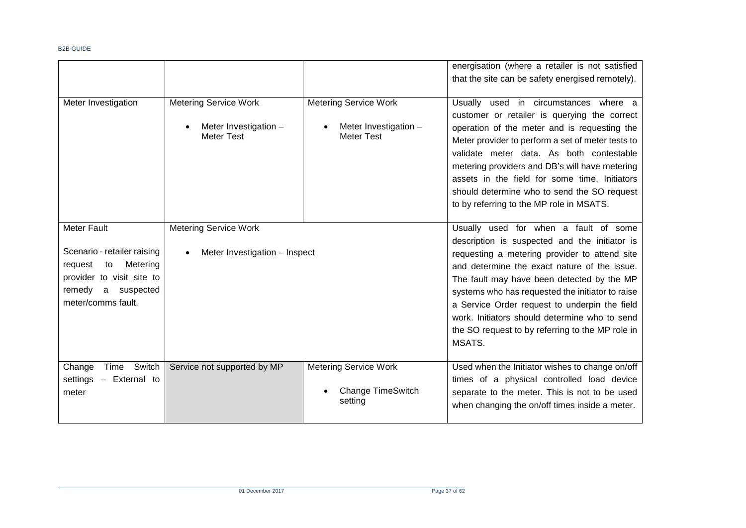|                                                                                                                                                         |                                                                            |                                                                            | energisation (where a retailer is not satisfied<br>that the site can be safety energised remotely).                                                                                                                                                                                                                                                                                                                                                       |
|---------------------------------------------------------------------------------------------------------------------------------------------------------|----------------------------------------------------------------------------|----------------------------------------------------------------------------|-----------------------------------------------------------------------------------------------------------------------------------------------------------------------------------------------------------------------------------------------------------------------------------------------------------------------------------------------------------------------------------------------------------------------------------------------------------|
| Meter Investigation                                                                                                                                     | <b>Metering Service Work</b><br>Meter Investigation -<br><b>Meter Test</b> | <b>Metering Service Work</b><br>Meter Investigation -<br><b>Meter Test</b> | Usually used in circumstances where a<br>customer or retailer is querying the correct<br>operation of the meter and is requesting the<br>Meter provider to perform a set of meter tests to<br>validate meter data. As both contestable<br>metering providers and DB's will have metering<br>assets in the field for some time, Initiators<br>should determine who to send the SO request<br>to by referring to the MP role in MSATS.                      |
| <b>Meter Fault</b><br>Scenario - retailer raising<br>to<br>Metering<br>request<br>provider to visit site to<br>remedy a suspected<br>meter/comms fault. | <b>Metering Service Work</b><br>Meter Investigation - Inspect              |                                                                            | Usually used for when a fault of some<br>description is suspected and the initiator is<br>requesting a metering provider to attend site<br>and determine the exact nature of the issue.<br>The fault may have been detected by the MP<br>systems who has requested the initiator to raise<br>a Service Order request to underpin the field<br>work. Initiators should determine who to send<br>the SO request to by referring to the MP role in<br>MSATS. |
| Switch<br>Change<br>Time<br>settings - External to<br>meter                                                                                             | Service not supported by MP                                                | <b>Metering Service Work</b><br><b>Change TimeSwitch</b><br>setting        | Used when the Initiator wishes to change on/off<br>times of a physical controlled load device<br>separate to the meter. This is not to be used<br>when changing the on/off times inside a meter.                                                                                                                                                                                                                                                          |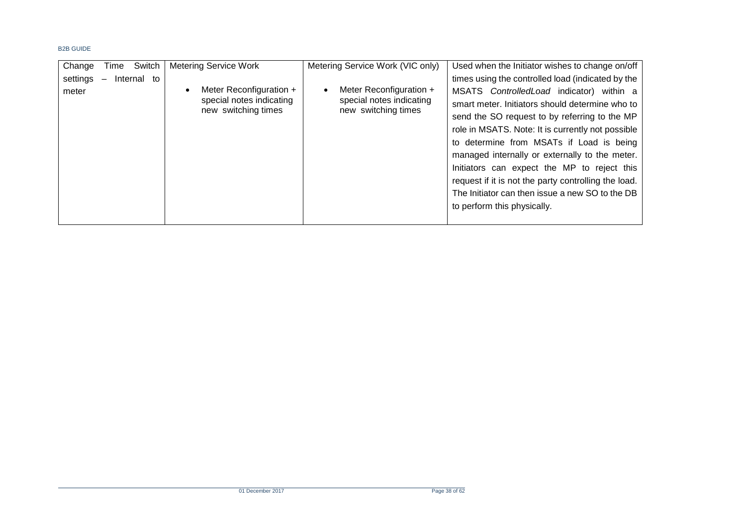| Switch<br>Change<br>Time                            | <b>Metering Service Work</b>                                               | Metering Service Work (VIC only)                                                        | Used when the Initiator wishes to change on/off                                                                                                                                                                                                                                                                                                |
|-----------------------------------------------------|----------------------------------------------------------------------------|-----------------------------------------------------------------------------------------|------------------------------------------------------------------------------------------------------------------------------------------------------------------------------------------------------------------------------------------------------------------------------------------------------------------------------------------------|
| settings<br>Internal to<br>$\overline{\phantom{0}}$ |                                                                            |                                                                                         | times using the controlled load (indicated by the                                                                                                                                                                                                                                                                                              |
| meter                                               | Meter Reconfiguration +<br>special notes indicating<br>new switching times | Meter Reconfiguration +<br>$\bullet$<br>special notes indicating<br>new switching times | MSATS ControlledLoad indicator) within a<br>smart meter. Initiators should determine who to<br>send the SO request to by referring to the MP<br>role in MSATS. Note: It is currently not possible<br>to determine from MSATs if Load is being<br>managed internally or externally to the meter.<br>Initiators can expect the MP to reject this |
|                                                     |                                                                            |                                                                                         | request if it is not the party controlling the load.<br>The Initiator can then issue a new SO to the DB<br>to perform this physically.                                                                                                                                                                                                         |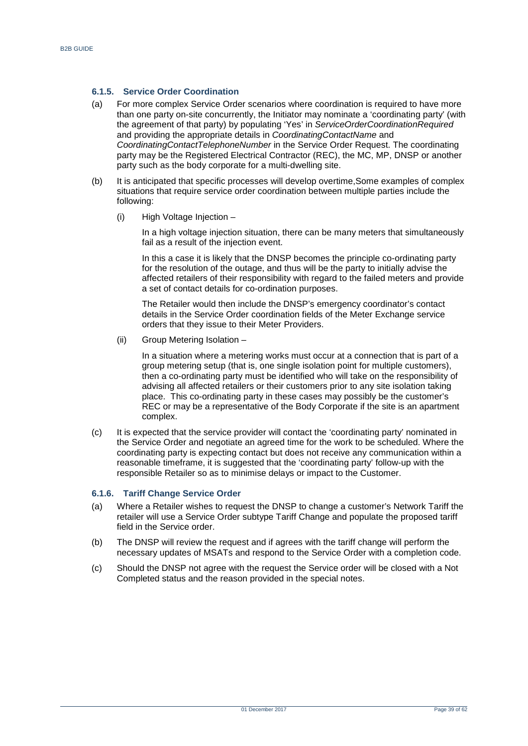#### **6.1.5. Service Order Coordination**

- (a) For more complex Service Order scenarios where coordination is required to have more than one party on-site concurrently, the Initiator may nominate a 'coordinating party' (with the agreement of that party) by populating 'Yes' in *ServiceOrderCoordinationRequired* and providing the appropriate details in *CoordinatingContactName* and *CoordinatingContactTelephoneNumber* in the Service Order Request. The coordinating party may be the Registered Electrical Contractor (REC), the MC, MP, DNSP or another party such as the body corporate for a multi-dwelling site.
- (b) It is anticipated that specific processes will develop overtime,Some examples of complex situations that require service order coordination between multiple parties include the following:
	- (i) High Voltage Injection –

In a high voltage injection situation, there can be many meters that simultaneously fail as a result of the injection event.

In this a case it is likely that the DNSP becomes the principle co-ordinating party for the resolution of the outage, and thus will be the party to initially advise the affected retailers of their responsibility with regard to the failed meters and provide a set of contact details for co-ordination purposes.

The Retailer would then include the DNSP's emergency coordinator's contact details in the Service Order coordination fields of the Meter Exchange service orders that they issue to their Meter Providers.

(ii) Group Metering Isolation –

In a situation where a metering works must occur at a connection that is part of a group metering setup (that is, one single isolation point for multiple customers), then a co-ordinating party must be identified who will take on the responsibility of advising all affected retailers or their customers prior to any site isolation taking place. This co-ordinating party in these cases may possibly be the customer's REC or may be a representative of the Body Corporate if the site is an apartment complex.

(c) It is expected that the service provider will contact the 'coordinating party' nominated in the Service Order and negotiate an agreed time for the work to be scheduled. Where the coordinating party is expecting contact but does not receive any communication within a reasonable timeframe, it is suggested that the 'coordinating party' follow-up with the responsible Retailer so as to minimise delays or impact to the Customer.

## **6.1.6. Tariff Change Service Order**

- (a) Where a Retailer wishes to request the DNSP to change a customer's Network Tariff the retailer will use a Service Order subtype Tariff Change and populate the proposed tariff field in the Service order.
- (b) The DNSP will review the request and if agrees with the tariff change will perform the necessary updates of MSATs and respond to the Service Order with a completion code.
- (c) Should the DNSP not agree with the request the Service order will be closed with a Not Completed status and the reason provided in the special notes.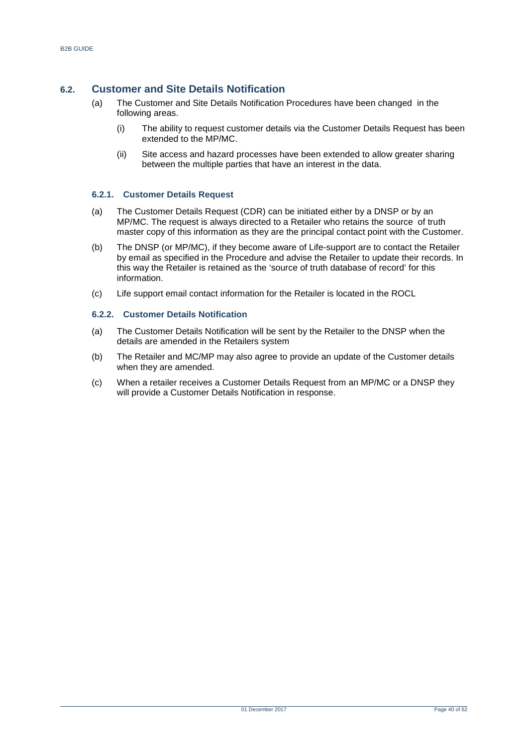## <span id="page-39-0"></span>**6.2. Customer and Site Details Notification**

- (a) The Customer and Site Details Notification Procedures have been changed in the following areas.
	- (i) The ability to request customer details via the Customer Details Request has been extended to the MP/MC.
	- (ii) Site access and hazard processes have been extended to allow greater sharing between the multiple parties that have an interest in the data.

## **6.2.1. Customer Details Request**

- (a) The Customer Details Request (CDR) can be initiated either by a DNSP or by an MP/MC. The request is always directed to a Retailer who retains the source of truth master copy of this information as they are the principal contact point with the Customer.
- (b) The DNSP (or MP/MC), if they become aware of Life-support are to contact the Retailer by email as specified in the Procedure and advise the Retailer to update their records. In this way the Retailer is retained as the 'source of truth database of record' for this information.
- (c) Life support email contact information for the Retailer is located in the ROCL

#### **6.2.2. Customer Details Notification**

- (a) The Customer Details Notification will be sent by the Retailer to the DNSP when the details are amended in the Retailers system
- (b) The Retailer and MC/MP may also agree to provide an update of the Customer details when they are amended.
- (c) When a retailer receives a Customer Details Request from an MP/MC or a DNSP they will provide a Customer Details Notification in response.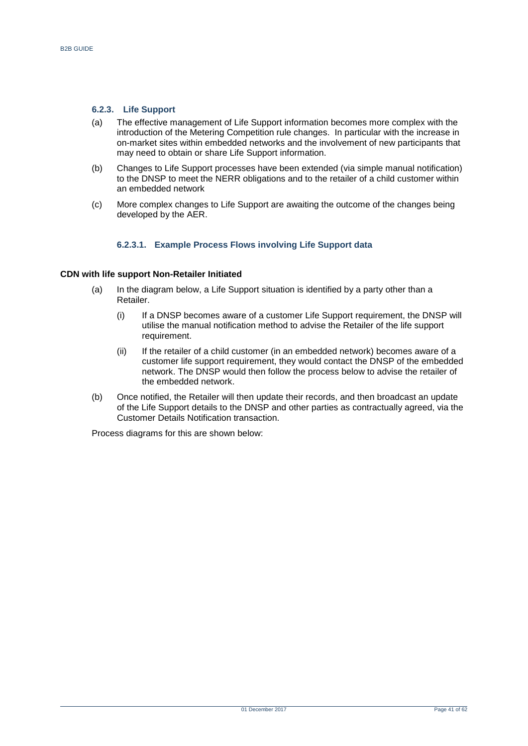#### **6.2.3. Life Support**

- (a) The effective management of Life Support information becomes more complex with the introduction of the Metering Competition rule changes. In particular with the increase in on-market sites within embedded networks and the involvement of new participants that may need to obtain or share Life Support information.
- (b) Changes to Life Support processes have been extended (via simple manual notification) to the DNSP to meet the NERR obligations and to the retailer of a child customer within an embedded network
- (c) More complex changes to Life Support are awaiting the outcome of the changes being developed by the AER.

#### **6.2.3.1. Example Process Flows involving Life Support data**

#### **CDN with life support Non-Retailer Initiated**

- (a) In the diagram below, a Life Support situation is identified by a party other than a Retailer.
	- (i) If a DNSP becomes aware of a customer Life Support requirement, the DNSP will utilise the manual notification method to advise the Retailer of the life support requirement.
	- (ii) If the retailer of a child customer (in an embedded network) becomes aware of a customer life support requirement, they would contact the DNSP of the embedded network. The DNSP would then follow the process below to advise the retailer of the embedded network.
- (b) Once notified, the Retailer will then update their records, and then broadcast an update of the Life Support details to the DNSP and other parties as contractually agreed, via the Customer Details Notification transaction.

Process diagrams for this are shown below: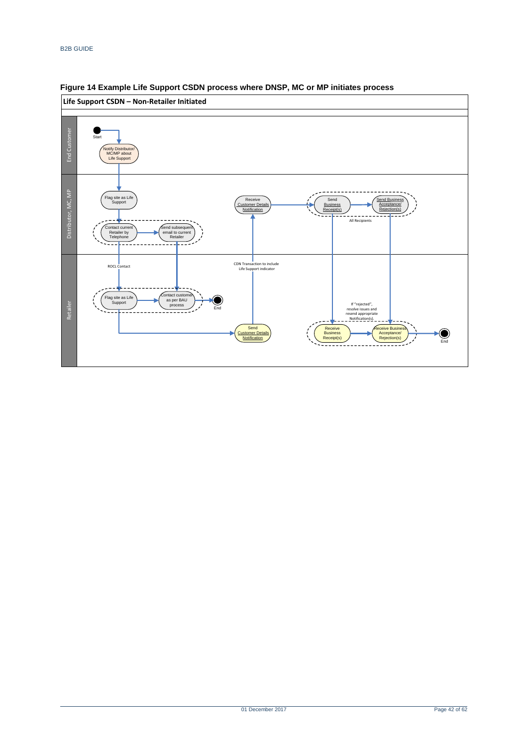

## <span id="page-41-0"></span>**Figure 14 Example Life Support CSDN process where DNSP, MC or MP initiates process**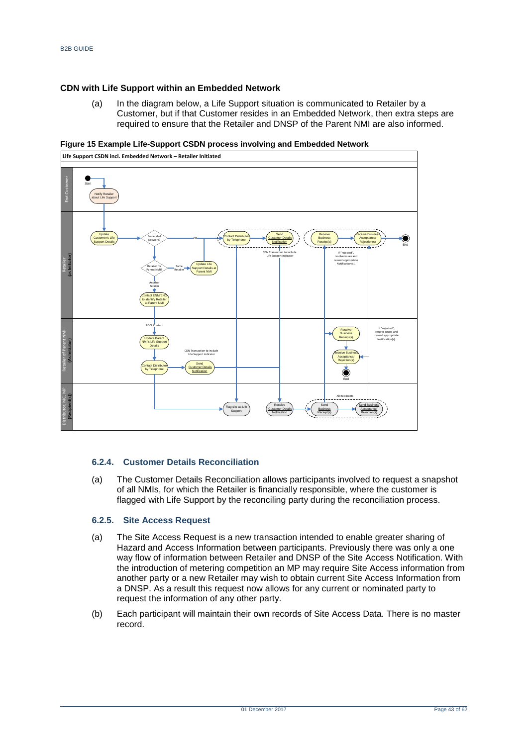#### **CDN with Life Support within an Embedded Network**

(a) In the diagram below, a Life Support situation is communicated to Retailer by a Customer, but if that Customer resides in an Embedded Network, then extra steps are required to ensure that the Retailer and DNSP of the Parent NMI are also informed.

#### <span id="page-42-0"></span>**Figure 15 Example Life-Support CSDN process involving and Embedded Network**



#### **6.2.4. Customer Details Reconciliation**

(a) The Customer Details Reconciliation allows participants involved to request a snapshot of all NMIs, for which the Retailer is financially responsible, where the customer is flagged with Life Support by the reconciling party during the reconciliation process.

### **6.2.5. Site Access Request**

- (a) The Site Access Request is a new transaction intended to enable greater sharing of Hazard and Access Information between participants. Previously there was only a one way flow of information between Retailer and DNSP of the Site Access Notification. With the introduction of metering competition an MP may require Site Access information from another party or a new Retailer may wish to obtain current Site Access Information from a DNSP. As a result this request now allows for any current or nominated party to request the information of any other party.
- (b) Each participant will maintain their own records of Site Access Data. There is no master record.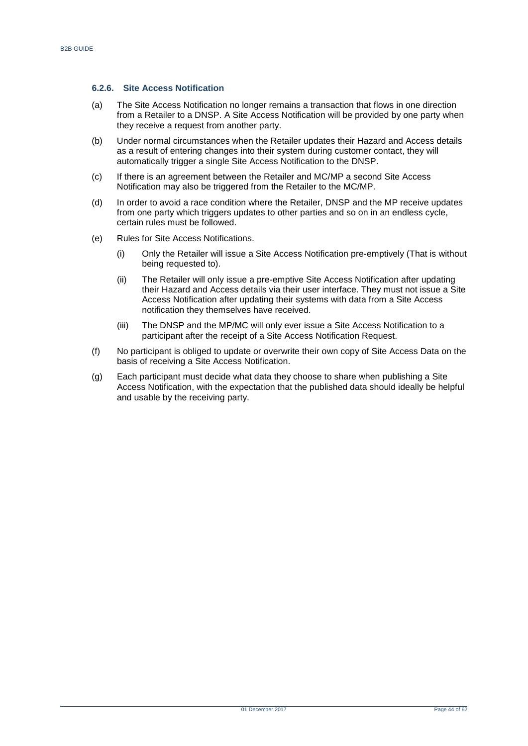#### **6.2.6. Site Access Notification**

- (a) The Site Access Notification no longer remains a transaction that flows in one direction from a Retailer to a DNSP. A Site Access Notification will be provided by one party when they receive a request from another party.
- (b) Under normal circumstances when the Retailer updates their Hazard and Access details as a result of entering changes into their system during customer contact, they will automatically trigger a single Site Access Notification to the DNSP.
- (c) If there is an agreement between the Retailer and MC/MP a second Site Access Notification may also be triggered from the Retailer to the MC/MP.
- (d) In order to avoid a race condition where the Retailer, DNSP and the MP receive updates from one party which triggers updates to other parties and so on in an endless cycle, certain rules must be followed.
- (e) Rules for Site Access Notifications.
	- (i) Only the Retailer will issue a Site Access Notification pre-emptively (That is without being requested to).
	- (ii) The Retailer will only issue a pre-emptive Site Access Notification after updating their Hazard and Access details via their user interface. They must not issue a Site Access Notification after updating their systems with data from a Site Access notification they themselves have received.
	- (iii) The DNSP and the MP/MC will only ever issue a Site Access Notification to a participant after the receipt of a Site Access Notification Request.
- (f) No participant is obliged to update or overwrite their own copy of Site Access Data on the basis of receiving a Site Access Notification.
- (g) Each participant must decide what data they choose to share when publishing a Site Access Notification, with the expectation that the published data should ideally be helpful and usable by the receiving party.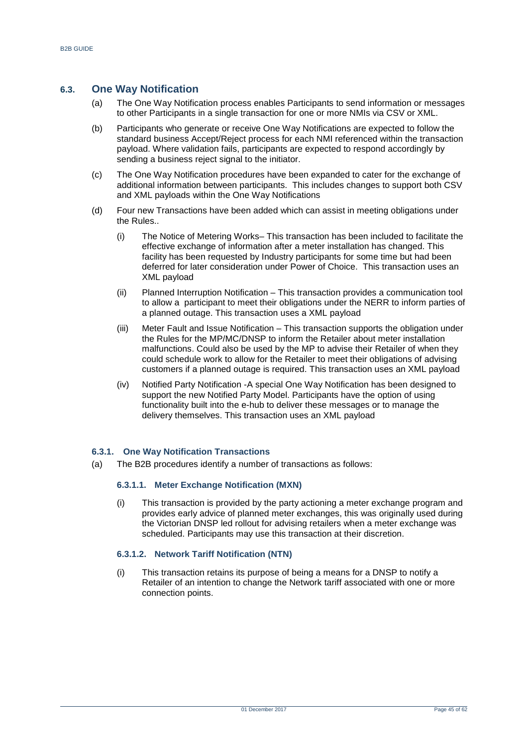## <span id="page-44-0"></span>**6.3. One Way Notification**

- (a) The One Way Notification process enables Participants to send information or messages to other Participants in a single transaction for one or more NMIs via CSV or XML.
- (b) Participants who generate or receive One Way Notifications are expected to follow the standard business Accept/Reject process for each NMI referenced within the transaction payload. Where validation fails, participants are expected to respond accordingly by sending a business reject signal to the initiator.
- (c) The One Way Notification procedures have been expanded to cater for the exchange of additional information between participants. This includes changes to support both CSV and XML payloads within the One Way Notifications
- (d) Four new Transactions have been added which can assist in meeting obligations under the Rules..
	- (i) The Notice of Metering Works– This transaction has been included to facilitate the effective exchange of information after a meter installation has changed. This facility has been requested by Industry participants for some time but had been deferred for later consideration under Power of Choice. This transaction uses an XML payload
	- (ii) Planned Interruption Notification This transaction provides a communication tool to allow a participant to meet their obligations under the NERR to inform parties of a planned outage. This transaction uses a XML payload
	- (iii) Meter Fault and Issue Notification This transaction supports the obligation under the Rules for the MP/MC/DNSP to inform the Retailer about meter installation malfunctions. Could also be used by the MP to advise their Retailer of when they could schedule work to allow for the Retailer to meet their obligations of advising customers if a planned outage is required. This transaction uses an XML payload
	- (iv) Notified Party Notification -A special One Way Notification has been designed to support the new Notified Party Model. Participants have the option of using functionality built into the e-hub to deliver these messages or to manage the delivery themselves. This transaction uses an XML payload

#### **6.3.1. One Way Notification Transactions**

(a) The B2B procedures identify a number of transactions as follows:

#### **6.3.1.1. Meter Exchange Notification (MXN)**

(i) This transaction is provided by the party actioning a meter exchange program and provides early advice of planned meter exchanges, this was originally used during the Victorian DNSP led rollout for advising retailers when a meter exchange was scheduled. Participants may use this transaction at their discretion.

#### **6.3.1.2. Network Tariff Notification (NTN)**

(i) This transaction retains its purpose of being a means for a DNSP to notify a Retailer of an intention to change the Network tariff associated with one or more connection points.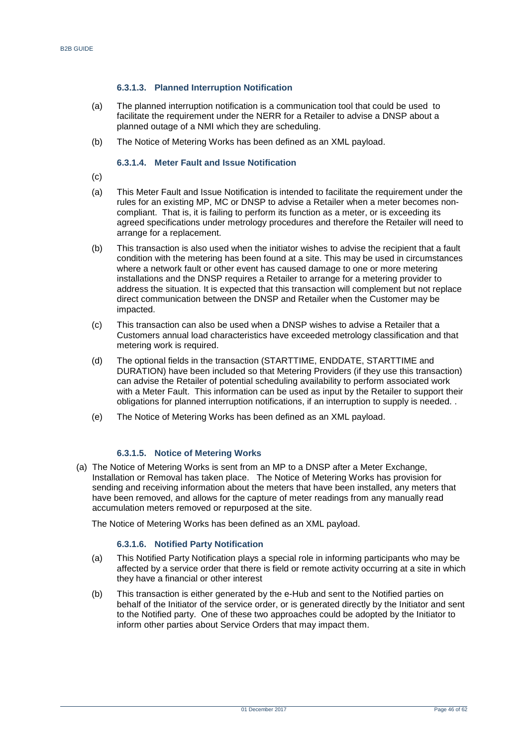## **6.3.1.3. Planned Interruption Notification**

- (a) The planned interruption notification is a communication tool that could be used to facilitate the requirement under the NERR for a Retailer to advise a DNSP about a planned outage of a NMI which they are scheduling.
- (b) The Notice of Metering Works has been defined as an XML payload.

#### **6.3.1.4. Meter Fault and Issue Notification**

- $(c)$
- (a) This Meter Fault and Issue Notification is intended to facilitate the requirement under the rules for an existing MP, MC or DNSP to advise a Retailer when a meter becomes noncompliant. That is, it is failing to perform its function as a meter, or is exceeding its agreed specifications under metrology procedures and therefore the Retailer will need to arrange for a replacement.
- (b) This transaction is also used when the initiator wishes to advise the recipient that a fault condition with the metering has been found at a site. This may be used in circumstances where a network fault or other event has caused damage to one or more metering installations and the DNSP requires a Retailer to arrange for a metering provider to address the situation. It is expected that this transaction will complement but not replace direct communication between the DNSP and Retailer when the Customer may be impacted.
- (c) This transaction can also be used when a DNSP wishes to advise a Retailer that a Customers annual load characteristics have exceeded metrology classification and that metering work is required.
- (d) The optional fields in the transaction (STARTTIME, ENDDATE, STARTTIME and DURATION) have been included so that Metering Providers (if they use this transaction) can advise the Retailer of potential scheduling availability to perform associated work with a Meter Fault. This information can be used as input by the Retailer to support their obligations for planned interruption notifications, if an interruption to supply is needed. .
- (e) The Notice of Metering Works has been defined as an XML payload.

#### **6.3.1.5. Notice of Metering Works**

(a) The Notice of Metering Works is sent from an MP to a DNSP after a Meter Exchange, Installation or Removal has taken place. The Notice of Metering Works has provision for sending and receiving information about the meters that have been installed, any meters that have been removed, and allows for the capture of meter readings from any manually read accumulation meters removed or repurposed at the site.

The Notice of Metering Works has been defined as an XML payload.

#### **6.3.1.6. Notified Party Notification**

- (a) This Notified Party Notification plays a special role in informing participants who may be affected by a service order that there is field or remote activity occurring at a site in which they have a financial or other interest
- (b) This transaction is either generated by the e-Hub and sent to the Notified parties on behalf of the Initiator of the service order, or is generated directly by the Initiator and sent to the Notified party. One of these two approaches could be adopted by the Initiator to inform other parties about Service Orders that may impact them.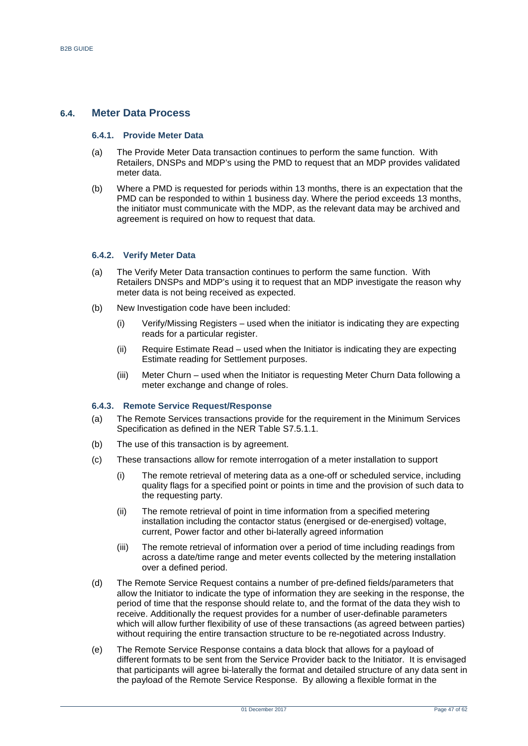## <span id="page-46-0"></span>**6.4. Meter Data Process**

#### **6.4.1. Provide Meter Data**

- (a) The Provide Meter Data transaction continues to perform the same function. With Retailers, DNSPs and MDP's using the PMD to request that an MDP provides validated meter data.
- (b) Where a PMD is requested for periods within 13 months, there is an expectation that the PMD can be responded to within 1 business day. Where the period exceeds 13 months, the initiator must communicate with the MDP, as the relevant data may be archived and agreement is required on how to request that data.

#### **6.4.2. Verify Meter Data**

- (a) The Verify Meter Data transaction continues to perform the same function. With Retailers DNSPs and MDP's using it to request that an MDP investigate the reason why meter data is not being received as expected.
- (b) New Investigation code have been included:
	- (i) Verify/Missing Registers used when the initiator is indicating they are expecting reads for a particular register.
	- (ii) Require Estimate Read used when the Initiator is indicating they are expecting Estimate reading for Settlement purposes.
	- (iii) Meter Churn used when the Initiator is requesting Meter Churn Data following a meter exchange and change of roles.

#### **6.4.3. Remote Service Request/Response**

- (a) The Remote Services transactions provide for the requirement in the Minimum Services Specification as defined in the NER Table S7.5.1.1.
- (b) The use of this transaction is by agreement.
- (c) These transactions allow for remote interrogation of a meter installation to support
	- (i) The remote retrieval of metering data as a one-off or scheduled service, including quality flags for a specified point or points in time and the provision of such data to the requesting party.
	- (ii) The remote retrieval of point in time information from a specified metering installation including the contactor status (energised or de-energised) voltage, current, Power factor and other bi-laterally agreed information
	- (iii) The remote retrieval of information over a period of time including readings from across a date/time range and meter events collected by the metering installation over a defined period.
- (d) The Remote Service Request contains a number of pre-defined fields/parameters that allow the Initiator to indicate the type of information they are seeking in the response, the period of time that the response should relate to, and the format of the data they wish to receive. Additionally the request provides for a number of user-definable parameters which will allow further flexibility of use of these transactions (as agreed between parties) without requiring the entire transaction structure to be re-negotiated across Industry.
- (e) The Remote Service Response contains a data block that allows for a payload of different formats to be sent from the Service Provider back to the Initiator. It is envisaged that participants will agree bi-laterally the format and detailed structure of any data sent in the payload of the Remote Service Response. By allowing a flexible format in the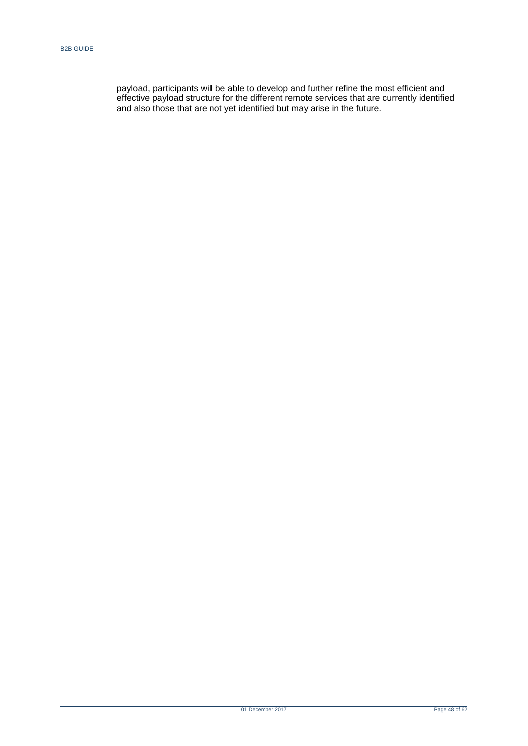payload, participants will be able to develop and further refine the most efficient and effective payload structure for the different remote services that are currently identified and also those that are not yet identified but may arise in the future.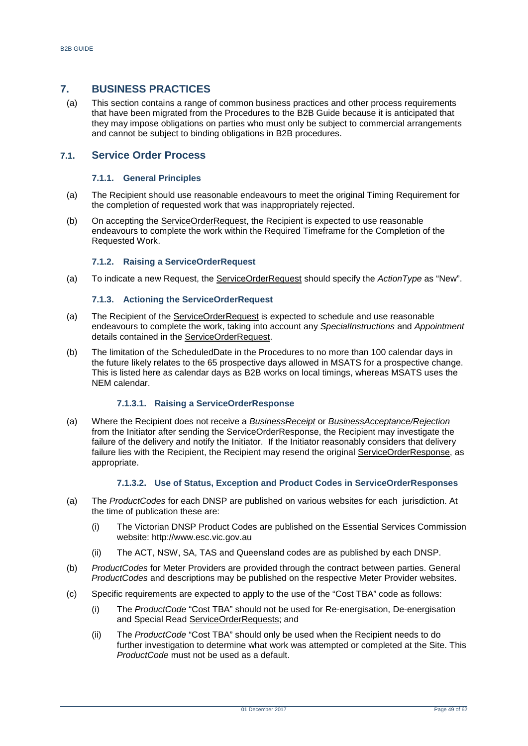## <span id="page-48-0"></span>**7. BUSINESS PRACTICES**

(a) This section contains a range of common business practices and other process requirements that have been migrated from the Procedures to the B2B Guide because it is anticipated that they may impose obligations on parties who must only be subject to commercial arrangements and cannot be subject to binding obligations in B2B procedures.

## <span id="page-48-1"></span>**7.1. Service Order Process**

#### **7.1.1. General Principles**

- (a) The Recipient should use reasonable endeavours to meet the original Timing Requirement for the completion of requested work that was inappropriately rejected.
- (b) On accepting the ServiceOrderRequest, the Recipient is expected to use reasonable endeavours to complete the work within the Required Timeframe for the Completion of the Requested Work.

#### **7.1.2. Raising a ServiceOrderRequest**

(a) To indicate a new Request, the ServiceOrderRequest should specify the *ActionType* as "New".

#### **7.1.3. Actioning the ServiceOrderRequest**

- (a) The Recipient of the ServiceOrderRequest is expected to schedule and use reasonable endeavours to complete the work, taking into account any *SpecialInstructions* and *Appointment* details contained in the ServiceOrderRequest.
- (b) The limitation of the ScheduledDate in the Procedures to no more than 100 calendar days in the future likely relates to the 65 prospective days allowed in MSATS for a prospective change. This is listed here as calendar days as B2B works on local timings, whereas MSATS uses the NEM calendar.

#### **7.1.3.1. Raising a ServiceOrderResponse**

(a) Where the Recipient does not receive a *BusinessReceipt* or *BusinessAcceptance/Rejection* from the Initiator after sending the ServiceOrderResponse, the Recipient may investigate the failure of the delivery and notify the Initiator. If the Initiator reasonably considers that delivery failure lies with the Recipient, the Recipient may resend the original ServiceOrderResponse, as appropriate.

#### **7.1.3.2. Use of Status, Exception and Product Codes in ServiceOrderResponses**

- (a) The *ProductCodes* for each DNSP are published on various websites for each jurisdiction. At the time of publication these are:
	- (i) The Victorian DNSP Product Codes are published on the Essential Services Commission website: http://www.esc.vic.gov.au
	- (ii) The ACT, NSW, SA, TAS and Queensland codes are as published by each DNSP.
- (b) *ProductCodes* for Meter Providers are provided through the contract between parties. General *ProductCodes* and descriptions may be published on the respective Meter Provider websites.
- (c) Specific requirements are expected to apply to the use of the "Cost TBA" code as follows:
	- (i) The *ProductCode* "Cost TBA" should not be used for Re-energisation, De-energisation and Special Read ServiceOrderRequests; and
	- (ii) The *ProductCode* "Cost TBA" should only be used when the Recipient needs to do further investigation to determine what work was attempted or completed at the Site. This *ProductCode* must not be used as a default.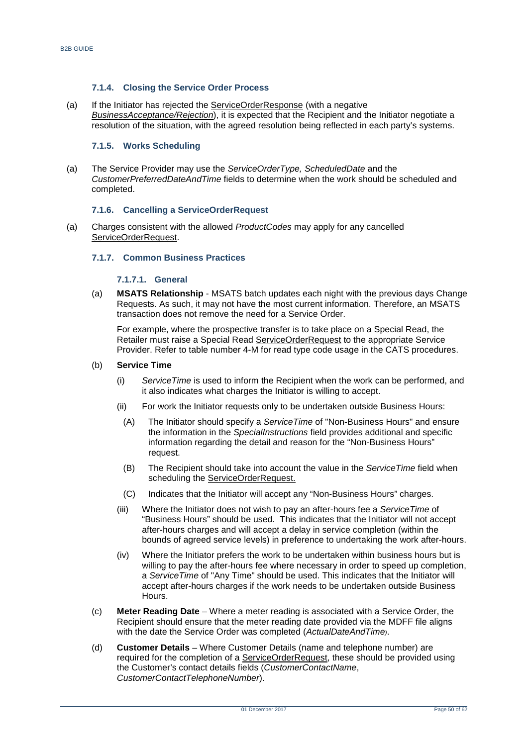#### **7.1.4. Closing the Service Order Process**

(a) If the Initiator has rejected the ServiceOrderResponse (with a negative *BusinessAcceptance/Rejection*), it is expected that the Recipient and the Initiator negotiate a resolution of the situation, with the agreed resolution being reflected in each party's systems.

#### **7.1.5. Works Scheduling**

(a) The Service Provider may use the *ServiceOrderType, ScheduledDate* and the *CustomerPreferredDateAndTime* fields to determine when the work should be scheduled and completed.

#### **7.1.6. Cancelling a ServiceOrderRequest**

(a) Charges consistent with the allowed *ProductCodes* may apply for any cancelled ServiceOrderRequest.

#### **7.1.7. Common Business Practices**

#### **7.1.7.1. General**

(a) **MSATS Relationship** - MSATS batch updates each night with the previous days Change Requests. As such, it may not have the most current information. Therefore, an MSATS transaction does not remove the need for a Service Order.

For example, where the prospective transfer is to take place on a Special Read, the Retailer must raise a Special Read ServiceOrderRequest to the appropriate Service Provider. Refer to table number 4-M for read type code usage in the CATS procedures.

#### (b) **Service Time**

- (i) *ServiceTime* is used to inform the Recipient when the work can be performed, and it also indicates what charges the Initiator is willing to accept.
- (ii) For work the Initiator requests only to be undertaken outside Business Hours:
	- (A) The Initiator should specify a *ServiceTime* of "Non-Business Hours" and ensure the information in the *SpecialInstructions* field provides additional and specific information regarding the detail and reason for the "Non-Business Hours" request.
	- (B) The Recipient should take into account the value in the *ServiceTime* field when scheduling the ServiceOrderRequest.
	- (C) Indicates that the Initiator will accept any "Non-Business Hours" charges.
- (iii) Where the Initiator does not wish to pay an after-hours fee a *ServiceTime* of "Business Hours" should be used. This indicates that the Initiator will not accept after-hours charges and will accept a delay in service completion (within the bounds of agreed service levels) in preference to undertaking the work after-hours.
- (iv) Where the Initiator prefers the work to be undertaken within business hours but is willing to pay the after-hours fee where necessary in order to speed up completion, a *ServiceTime* of "Any Time" should be used. This indicates that the Initiator will accept after-hours charges if the work needs to be undertaken outside Business Hours.
- (c) **Meter Reading Date**  Where a meter reading is associated with a Service Order, the Recipient should ensure that the meter reading date provided via the MDFF file aligns with the date the Service Order was completed (*ActualDateAndTime)*.
- (d) **Customer Details**  Where Customer Details (name and telephone number) are required for the completion of a ServiceOrderRequest, these should be provided using the Customer's contact details fields (*CustomerContactName*, *CustomerContactTelephoneNumber*).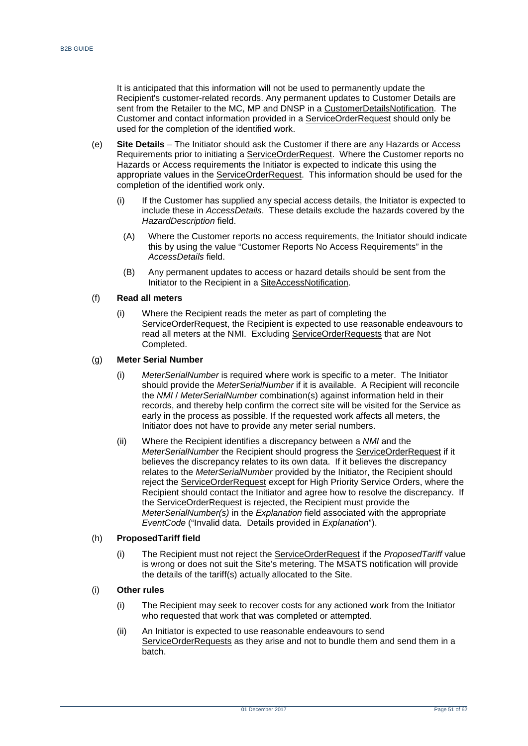It is anticipated that this information will not be used to permanently update the Recipient's customer-related records. Any permanent updates to Customer Details are sent from the Retailer to the MC, MP and DNSP in a CustomerDetailsNotification. The Customer and contact information provided in a ServiceOrderRequest should only be used for the completion of the identified work.

- (e) **Site Details**  The Initiator should ask the Customer if there are any Hazards or Access Requirements prior to initiating a ServiceOrderRequest. Where the Customer reports no Hazards or Access requirements the Initiator is expected to indicate this using the appropriate values in the ServiceOrderRequest. This information should be used for the completion of the identified work only.
	- (i) If the Customer has supplied any special access details, the Initiator is expected to include these in *AccessDetails*. These details exclude the hazards covered by the *HazardDescription* field.
		- (A) Where the Customer reports no access requirements, the Initiator should indicate this by using the value "Customer Reports No Access Requirements" in the *AccessDetails* field.
		- (B) Any permanent updates to access or hazard details should be sent from the Initiator to the Recipient in a SiteAccessNotification.

#### (f) **Read all meters**

(i) Where the Recipient reads the meter as part of completing the ServiceOrderRequest, the Recipient is expected to use reasonable endeavours to read all meters at the NMI. Excluding ServiceOrderRequests that are Not Completed.

#### (g) **Meter Serial Number**

- (i) *MeterSerialNumber* is required where work is specific to a meter. The Initiator should provide the *MeterSerialNumber* if it is available. A Recipient will reconcile the *NMI* / *MeterSerialNumber* combination(s) against information held in their records, and thereby help confirm the correct site will be visited for the Service as early in the process as possible. If the requested work affects all meters, the Initiator does not have to provide any meter serial numbers.
- (ii) Where the Recipient identifies a discrepancy between a *NMI* and the *MeterSerialNumber* the Recipient should progress the ServiceOrderRequest if it believes the discrepancy relates to its own data. If it believes the discrepancy relates to the *MeterSerialNumber* provided by the Initiator, the Recipient should reject the ServiceOrderRequest except for High Priority Service Orders, where the Recipient should contact the Initiator and agree how to resolve the discrepancy. If the ServiceOrderRequest is rejected, the Recipient must provide the *MeterSerialNumber(s)* in the *Explanation* field associated with the appropriate *EventCode* ("Invalid data. Details provided in *Explanation*").

#### (h) **ProposedTariff field**

(i) The Recipient must not reject the ServiceOrderRequest if the *ProposedTariff* value is wrong or does not suit the Site's metering. The MSATS notification will provide the details of the tariff(s) actually allocated to the Site.

#### (i) **Other rules**

- (i) The Recipient may seek to recover costs for any actioned work from the Initiator who requested that work that was completed or attempted.
- (ii) An Initiator is expected to use reasonable endeavours to send ServiceOrderRequests as they arise and not to bundle them and send them in a batch.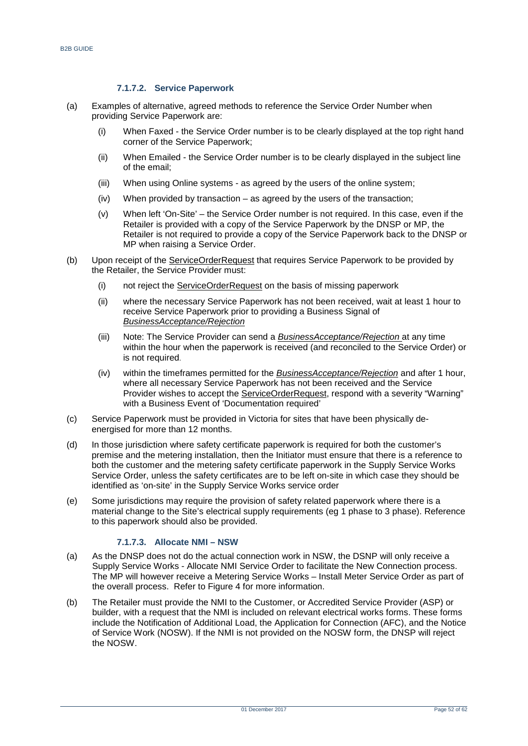## **7.1.7.2. Service Paperwork**

- (a) Examples of alternative, agreed methods to reference the Service Order Number when providing Service Paperwork are:
	- (i) When Faxed the Service Order number is to be clearly displayed at the top right hand corner of the Service Paperwork;
	- (ii) When Emailed the Service Order number is to be clearly displayed in the subject line of the email;
	- (iii) When using Online systems as agreed by the users of the online system;
	- (iv) When provided by transaction as agreed by the users of the transaction;
	- (v) When left 'On-Site' the Service Order number is not required. In this case, even if the Retailer is provided with a copy of the Service Paperwork by the DNSP or MP, the Retailer is not required to provide a copy of the Service Paperwork back to the DNSP or MP when raising a Service Order.
- (b) Upon receipt of the ServiceOrderRequest that requires Service Paperwork to be provided by the Retailer, the Service Provider must:
	- (i) not reject the ServiceOrderRequest on the basis of missing paperwork
	- (ii) where the necessary Service Paperwork has not been received, wait at least 1 hour to receive Service Paperwork prior to providing a Business Signal of *BusinessAcceptance/Rejection*
	- (iii) Note: The Service Provider can send a *BusinessAcceptance/Rejection* at any time within the hour when the paperwork is received (and reconciled to the Service Order) or is not required.
	- (iv) within the timeframes permitted for the *BusinessAcceptance/Rejection* and after 1 hour, where all necessary Service Paperwork has not been received and the Service Provider wishes to accept the ServiceOrderRequest, respond with a severity "Warning" with a Business Event of 'Documentation required'
- (c) Service Paperwork must be provided in Victoria for sites that have been physically deenergised for more than 12 months.
- (d) In those jurisdiction where safety certificate paperwork is required for both the customer's premise and the metering installation, then the Initiator must ensure that there is a reference to both the customer and the metering safety certificate paperwork in the Supply Service Works Service Order, unless the safety certificates are to be left on-site in which case they should be identified as 'on-site' in the Supply Service Works service order
- (e) Some jurisdictions may require the provision of safety related paperwork where there is a material change to the Site's electrical supply requirements (eg 1 phase to 3 phase). Reference to this paperwork should also be provided.

## **7.1.7.3. Allocate NMI – NSW**

- (a) As the DNSP does not do the actual connection work in NSW, the DSNP will only receive a Supply Service Works - Allocate NMI Service Order to facilitate the New Connection process. The MP will however receive a Metering Service Works – Install Meter Service Order as part of the overall process. Refer to [Figure 4](#page-20-0) for more information.
- (b) The Retailer must provide the NMI to the Customer, or Accredited Service Provider (ASP) or builder, with a request that the NMI is included on relevant electrical works forms. These forms include the Notification of Additional Load, the Application for Connection (AFC), and the Notice of Service Work (NOSW). If the NMI is not provided on the NOSW form, the DNSP will reject the NOSW.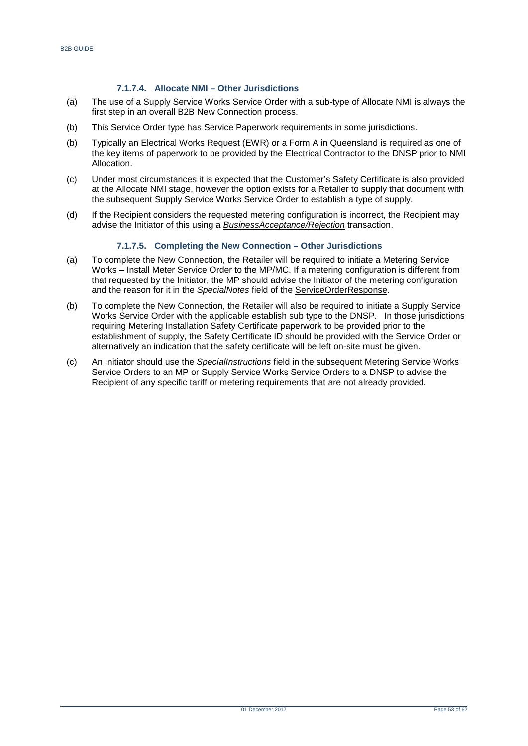## **7.1.7.4. Allocate NMI – Other Jurisdictions**

- (a) The use of a Supply Service Works Service Order with a sub-type of Allocate NMI is always the first step in an overall B2B New Connection process.
- (b) This Service Order type has Service Paperwork requirements in some jurisdictions.
- (b) Typically an Electrical Works Request (EWR) or a Form A in Queensland is required as one of the key items of paperwork to be provided by the Electrical Contractor to the DNSP prior to NMI Allocation.
- (c) Under most circumstances it is expected that the Customer's Safety Certificate is also provided at the Allocate NMI stage, however the option exists for a Retailer to supply that document with the subsequent Supply Service Works Service Order to establish a type of supply.
- (d) If the Recipient considers the requested metering configuration is incorrect, the Recipient may advise the Initiator of this using a *BusinessAcceptance/Rejection* transaction.

## **7.1.7.5. Completing the New Connection – Other Jurisdictions**

- (a) To complete the New Connection, the Retailer will be required to initiate a Metering Service Works – Install Meter Service Order to the MP/MC. If a metering configuration is different from that requested by the Initiator, the MP should advise the Initiator of the metering configuration and the reason for it in the *SpecialNotes* field of the ServiceOrderResponse.
- (b) To complete the New Connection, the Retailer will also be required to initiate a Supply Service Works Service Order with the applicable establish sub type to the DNSP. In those jurisdictions requiring Metering Installation Safety Certificate paperwork to be provided prior to the establishment of supply, the Safety Certificate ID should be provided with the Service Order or alternatively an indication that the safety certificate will be left on-site must be given.
- (c) An Initiator should use the *SpecialInstructions* field in the subsequent Metering Service Works Service Orders to an MP or Supply Service Works Service Orders to a DNSP to advise the Recipient of any specific tariff or metering requirements that are not already provided.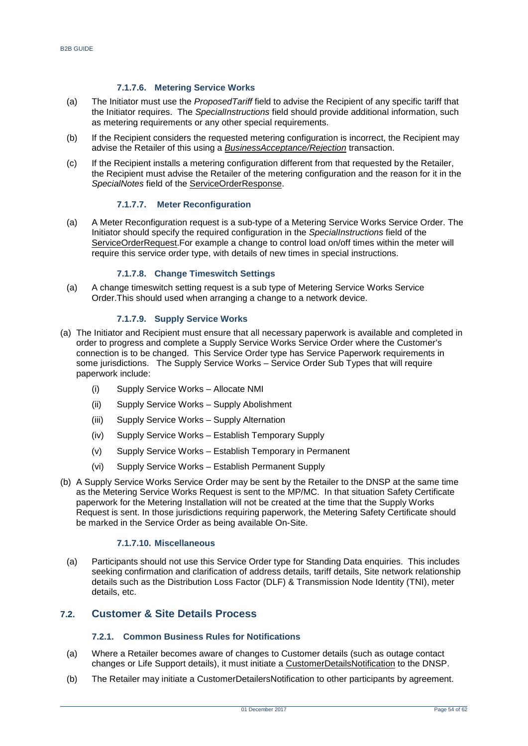#### **7.1.7.6. Metering Service Works**

- (a) The Initiator must use the *ProposedTariff* field to advise the Recipient of any specific tariff that the Initiator requires. The *SpecialInstructions* field should provide additional information, such as metering requirements or any other special requirements.
- (b) If the Recipient considers the requested metering configuration is incorrect, the Recipient may advise the Retailer of this using a *BusinessAcceptance/Rejection* transaction.
- (c) If the Recipient installs a metering configuration different from that requested by the Retailer, the Recipient must advise the Retailer of the metering configuration and the reason for it in the *SpecialNotes* field of the ServiceOrderResponse.

#### **7.1.7.7. Meter Reconfiguration**

(a) A Meter Reconfiguration request is a sub-type of a Metering Service Works Service Order. The Initiator should specify the required configuration in the *SpecialInstructions* field of the ServiceOrderRequest.For example a change to control load on/off times within the meter will require this service order type, with details of new times in special instructions.

#### **7.1.7.8. Change Timeswitch Settings**

(a) A change timeswitch setting request is a sub type of Metering Service Works Service Order.This should used when arranging a change to a network device.

#### **7.1.7.9. Supply Service Works**

- (a) The Initiator and Recipient must ensure that all necessary paperwork is available and completed in order to progress and complete a Supply Service Works Service Order where the Customer's connection is to be changed. This Service Order type has Service Paperwork requirements in some jurisdictions. The Supply Service Works – Service Order Sub Types that will require paperwork include:
	- (i) Supply Service Works Allocate NMI
	- (ii) Supply Service Works Supply Abolishment
	- (iii) Supply Service Works Supply Alternation
	- (iv) Supply Service Works Establish Temporary Supply
	- (v) Supply Service Works Establish Temporary in Permanent
	- (vi) Supply Service Works Establish Permanent Supply
- (b) A Supply Service Works Service Order may be sent by the Retailer to the DNSP at the same time as the Metering Service Works Request is sent to the MP/MC. In that situation Safety Certificate paperwork for the Metering Installation will not be created at the time that the Supply Works Request is sent. In those jurisdictions requiring paperwork, the Metering Safety Certificate should be marked in the Service Order as being available On-Site.

## **7.1.7.10. Miscellaneous**

(a) Participants should not use this Service Order type for Standing Data enquiries. This includes seeking confirmation and clarification of address details, tariff details, Site network relationship details such as the Distribution Loss Factor (DLF) & Transmission Node Identity (TNI), meter details, etc.

## <span id="page-53-0"></span>**7.2. Customer & Site Details Process**

#### **7.2.1. Common Business Rules for Notifications**

- (a) Where a Retailer becomes aware of changes to Customer details (such as outage contact changes or Life Support details), it must initiate a CustomerDetailsNotification to the DNSP.
- (b) The Retailer may initiate a CustomerDetailersNotification to other participants by agreement.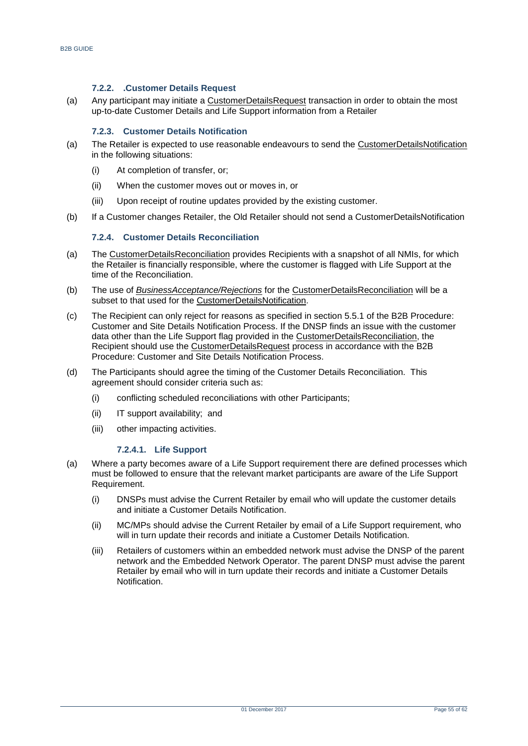#### **7.2.2. .Customer Details Request**

(a) Any participant may initiate a CustomerDetailsRequest transaction in order to obtain the most up-to-date Customer Details and Life Support information from a Retailer

#### **7.2.3. Customer Details Notification**

- (a) The Retailer is expected to use reasonable endeavours to send the CustomerDetailsNotification in the following situations:
	- (i) At completion of transfer, or;
	- (ii) When the customer moves out or moves in, or
	- (iii) Upon receipt of routine updates provided by the existing customer.
- (b) If a Customer changes Retailer, the Old Retailer should not send a CustomerDetailsNotification

#### **7.2.4. Customer Details Reconciliation**

- (a) The CustomerDetailsReconciliation provides Recipients with a snapshot of all NMIs, for which the Retailer is financially responsible, where the customer is flagged with Life Support at the time of the Reconciliation.
- (b) The use of *BusinessAcceptance/Rejections* for the CustomerDetailsReconciliation will be a subset to that used for the CustomerDetailsNotification.
- (c) The Recipient can only reject for reasons as specified in section 5.5.1 of the B2B Procedure: Customer and Site Details Notification Process. If the DNSP finds an issue with the customer data other than the Life Support flag provided in the CustomerDetailsReconciliation, the Recipient should use the CustomerDetailsRequest process in accordance with the B2B Procedure: Customer and Site Details Notification Process.
- (d) The Participants should agree the timing of the Customer Details Reconciliation. This agreement should consider criteria such as:
	- (i) conflicting scheduled reconciliations with other Participants;
	- (ii) IT support availability; and
	- (iii) other impacting activities.

#### **7.2.4.1. Life Support**

- (a) Where a party becomes aware of a Life Support requirement there are defined processes which must be followed to ensure that the relevant market participants are aware of the Life Support Requirement.
	- (i) DNSPs must advise the Current Retailer by email who will update the customer details and initiate a Customer Details Notification.
	- (ii) MC/MPs should advise the Current Retailer by email of a Life Support requirement, who will in turn update their records and initiate a Customer Details Notification.
	- (iii) Retailers of customers within an embedded network must advise the DNSP of the parent network and the Embedded Network Operator. The parent DNSP must advise the parent Retailer by email who will in turn update their records and initiate a Customer Details Notification.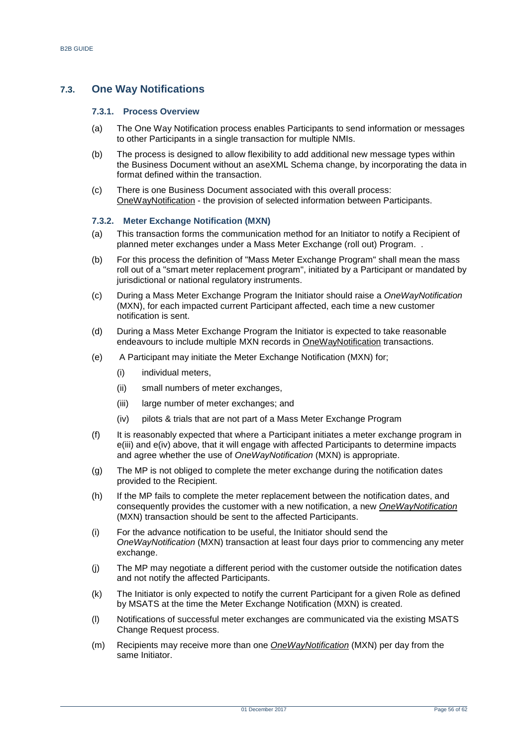## <span id="page-55-0"></span>**7.3. One Way Notifications**

#### **7.3.1. Process Overview**

- (a) The One Way Notification process enables Participants to send information or messages to other Participants in a single transaction for multiple NMIs.
- (b) The process is designed to allow flexibility to add additional new message types within the Business Document without an aseXML Schema change, by incorporating the data in format defined within the transaction.
- (c) There is one Business Document associated with this overall process: OneWayNotification - the provision of selected information between Participants.

#### **7.3.2. Meter Exchange Notification (MXN)**

- (a) This transaction forms the communication method for an Initiator to notify a Recipient of planned meter exchanges under a Mass Meter Exchange (roll out) Program. .
- (b) For this process the definition of "Mass Meter Exchange Program" shall mean the mass roll out of a "smart meter replacement program", initiated by a Participant or mandated by jurisdictional or national regulatory instruments.
- (c) During a Mass Meter Exchange Program the Initiator should raise a *OneWayNotification* (MXN), for each impacted current Participant affected, each time a new customer notification is sent.
- (d) During a Mass Meter Exchange Program the Initiator is expected to take reasonable endeavours to include multiple MXN records in OneWayNotification transactions.
- (e) A Participant may initiate the Meter Exchange Notification (MXN) for;
	- (i) individual meters,
	- (ii) small numbers of meter exchanges,
	- (iii) large number of meter exchanges; and
	- (iv) pilots & trials that are not part of a Mass Meter Exchange Program
- (f) It is reasonably expected that where a Participant initiates a meter exchange program in e(iii) and e(iv) above, that it will engage with affected Participants to determine impacts and agree whether the use of *OneWayNotification* (MXN) is appropriate.
- (g) The MP is not obliged to complete the meter exchange during the notification dates provided to the Recipient.
- (h) If the MP fails to complete the meter replacement between the notification dates, and consequently provides the customer with a new notification, a new *OneWayNotification* (MXN) transaction should be sent to the affected Participants.
- (i) For the advance notification to be useful, the Initiator should send the *OneWayNotification* (MXN) transaction at least four days prior to commencing any meter exchange.
- (j) The MP may negotiate a different period with the customer outside the notification dates and not notify the affected Participants.
- (k) The Initiator is only expected to notify the current Participant for a given Role as defined by MSATS at the time the Meter Exchange Notification (MXN) is created.
- (l) Notifications of successful meter exchanges are communicated via the existing MSATS Change Request process.
- (m) Recipients may receive more than one *OneWayNotification* (MXN) per day from the same Initiator.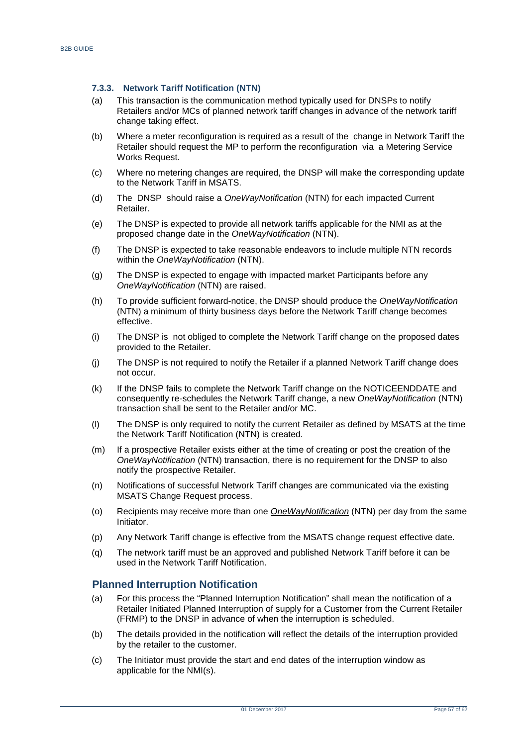#### **7.3.3. Network Tariff Notification (NTN)**

- (a) This transaction is the communication method typically used for DNSPs to notify Retailers and/or MCs of planned network tariff changes in advance of the network tariff change taking effect.
- (b) Where a meter reconfiguration is required as a result of the change in Network Tariff the Retailer should request the MP to perform the reconfiguration via a Metering Service Works Request.
- (c) Where no metering changes are required, the DNSP will make the corresponding update to the Network Tariff in MSATS.
- (d) The DNSP should raise a *OneWayNotification* (NTN) for each impacted Current Retailer.
- (e) The DNSP is expected to provide all network tariffs applicable for the NMI as at the proposed change date in the *OneWayNotification* (NTN).
- (f) The DNSP is expected to take reasonable endeavors to include multiple NTN records within the *OneWayNotification* (NTN).
- (g) The DNSP is expected to engage with impacted market Participants before any *OneWayNotification* (NTN) are raised.
- (h) To provide sufficient forward-notice, the DNSP should produce the *OneWayNotification* (NTN) a minimum of thirty business days before the Network Tariff change becomes effective.
- (i) The DNSP is not obliged to complete the Network Tariff change on the proposed dates provided to the Retailer.
- (j) The DNSP is not required to notify the Retailer if a planned Network Tariff change does not occur.
- (k) If the DNSP fails to complete the Network Tariff change on the NOTICEENDDATE and consequently re-schedules the Network Tariff change, a new *OneWayNotification* (NTN) transaction shall be sent to the Retailer and/or MC.
- (l) The DNSP is only required to notify the current Retailer as defined by MSATS at the time the Network Tariff Notification (NTN) is created.
- (m) If a prospective Retailer exists either at the time of creating or post the creation of the *OneWayNotification* (NTN) transaction, there is no requirement for the DNSP to also notify the prospective Retailer.
- (n) Notifications of successful Network Tariff changes are communicated via the existing MSATS Change Request process.
- (o) Recipients may receive more than one *OneWayNotification* (NTN) per day from the same Initiator.
- (p) Any Network Tariff change is effective from the MSATS change request effective date.
- (q) The network tariff must be an approved and published Network Tariff before it can be used in the Network Tariff Notification.

## <span id="page-56-0"></span>**Planned Interruption Notification**

- (a) For this process the "Planned Interruption Notification" shall mean the notification of a Retailer Initiated Planned Interruption of supply for a Customer from the Current Retailer (FRMP) to the DNSP in advance of when the interruption is scheduled.
- (b) The details provided in the notification will reflect the details of the interruption provided by the retailer to the customer.
- (c) The Initiator must provide the start and end dates of the interruption window as applicable for the NMI(s).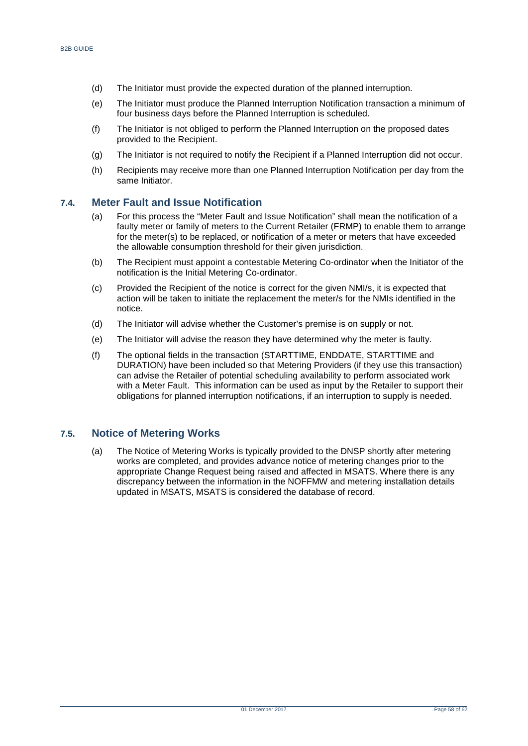- (d) The Initiator must provide the expected duration of the planned interruption.
- (e) The Initiator must produce the Planned Interruption Notification transaction a minimum of four business days before the Planned Interruption is scheduled.
- (f) The Initiator is not obliged to perform the Planned Interruption on the proposed dates provided to the Recipient.
- (g) The Initiator is not required to notify the Recipient if a Planned Interruption did not occur.
- (h) Recipients may receive more than one Planned Interruption Notification per day from the same Initiator.

## <span id="page-57-0"></span>**7.4. Meter Fault and Issue Notification**

- (a) For this process the "Meter Fault and Issue Notification" shall mean the notification of a faulty meter or family of meters to the Current Retailer (FRMP) to enable them to arrange for the meter(s) to be replaced, or notification of a meter or meters that have exceeded the allowable consumption threshold for their given jurisdiction.
- (b) The Recipient must appoint a contestable Metering Co-ordinator when the Initiator of the notification is the Initial Metering Co-ordinator.
- (c) Provided the Recipient of the notice is correct for the given NMI/s, it is expected that action will be taken to initiate the replacement the meter/s for the NMIs identified in the notice.
- (d) The Initiator will advise whether the Customer's premise is on supply or not.
- (e) The Initiator will advise the reason they have determined why the meter is faulty.
- (f) The optional fields in the transaction (STARTTIME, ENDDATE, STARTTIME and DURATION) have been included so that Metering Providers (if they use this transaction) can advise the Retailer of potential scheduling availability to perform associated work with a Meter Fault. This information can be used as input by the Retailer to support their obligations for planned interruption notifications, if an interruption to supply is needed.

## <span id="page-57-1"></span>**7.5. Notice of Metering Works**

(a) The Notice of Metering Works is typically provided to the DNSP shortly after metering works are completed, and provides advance notice of metering changes prior to the appropriate Change Request being raised and affected in MSATS. Where there is any discrepancy between the information in the NOFFMW and metering installation details updated in MSATS, MSATS is considered the database of record.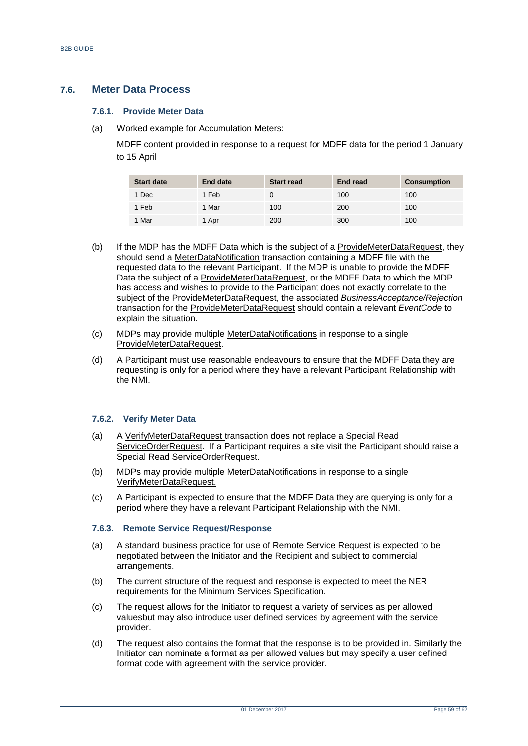## <span id="page-58-0"></span>**7.6. Meter Data Process**

#### **7.6.1. Provide Meter Data**

(a) Worked example for Accumulation Meters:

MDFF content provided in response to a request for MDFF data for the period 1 January to 15 April

| <b>Start date</b> | <b>End date</b> | <b>Start read</b> | <b>End read</b> | <b>Consumption</b> |
|-------------------|-----------------|-------------------|-----------------|--------------------|
| 1 Dec             | 1 Feb           |                   | 100             | 100                |
| 1 Feb             | 1 Mar           | 100               | 200             | 100                |
| 1 Mar             | 1 Apr           | 200               | 300             | 100                |

- (b) If the MDP has the MDFF Data which is the subject of a ProvideMeterDataRequest, they should send a MeterDataNotification transaction containing a MDFF file with the requested data to the relevant Participant. If the MDP is unable to provide the MDFF Data the subject of a ProvideMeterDataRequest, or the MDFF Data to which the MDP has access and wishes to provide to the Participant does not exactly correlate to the subject of the ProvideMeterDataRequest, the associated *BusinessAcceptance/Rejection* transaction for the ProvideMeterDataRequest should contain a relevant *EventCode* to explain the situation.
- (c) MDPs may provide multiple MeterDataNotifications in response to a single ProvideMeterDataRequest.
- (d) A Participant must use reasonable endeavours to ensure that the MDFF Data they are requesting is only for a period where they have a relevant Participant Relationship with the NMI.

#### **7.6.2. Verify Meter Data**

- (a) A VerifyMeterDataRequest transaction does not replace a Special Read ServiceOrderRequest. If a Participant requires a site visit the Participant should raise a Special Read ServiceOrderRequest.
- (b) MDPs may provide multiple MeterDataNotifications in response to a single VerifyMeterDataRequest.
- (c) A Participant is expected to ensure that the MDFF Data they are querying is only for a period where they have a relevant Participant Relationship with the NMI.

#### **7.6.3. Remote Service Request/Response**

- (a) A standard business practice for use of Remote Service Request is expected to be negotiated between the Initiator and the Recipient and subject to commercial arrangements.
- (b) The current structure of the request and response is expected to meet the NER requirements for the Minimum Services Specification.
- (c) The request allows for the Initiator to request a variety of services as per allowed valuesbut may also introduce user defined services by agreement with the service provider.
- (d) The request also contains the format that the response is to be provided in. Similarly the Initiator can nominate a format as per allowed values but may specify a user defined format code with agreement with the service provider.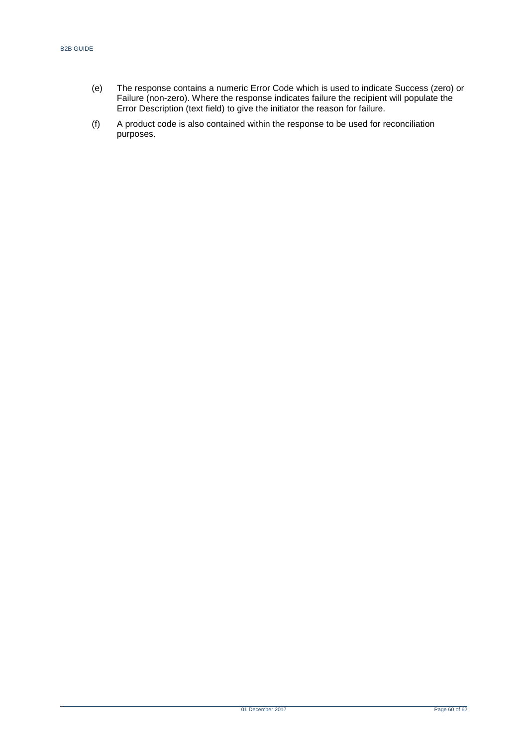- (e) The response contains a numeric Error Code which is used to indicate Success (zero) or Failure (non-zero). Where the response indicates failure the recipient will populate the Error Description (text field) to give the initiator the reason for failure.
- (f) A product code is also contained within the response to be used for reconciliation purposes.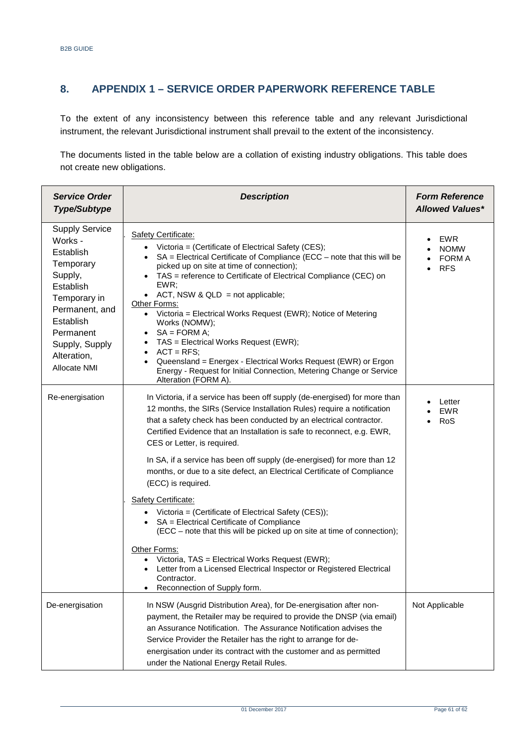# <span id="page-60-0"></span>**8. APPENDIX 1 – SERVICE ORDER PAPERWORK REFERENCE TABLE**

To the extent of any inconsistency between this reference table and any relevant Jurisdictional instrument, the relevant Jurisdictional instrument shall prevail to the extent of the inconsistency.

The documents listed in the table below are a collation of existing industry obligations. This table does not create new obligations.

| <b>Service Order</b><br><b>Type/Subtype</b>                                                                                                                                                     | <b>Description</b>                                                                                                                                                                                                                                                                                                                                                                                                                                                                                                                                                                                                                                                                                                 | <b>Form Reference</b><br><b>Allowed Values*</b> |
|-------------------------------------------------------------------------------------------------------------------------------------------------------------------------------------------------|--------------------------------------------------------------------------------------------------------------------------------------------------------------------------------------------------------------------------------------------------------------------------------------------------------------------------------------------------------------------------------------------------------------------------------------------------------------------------------------------------------------------------------------------------------------------------------------------------------------------------------------------------------------------------------------------------------------------|-------------------------------------------------|
| <b>Supply Service</b><br>Works -<br>Establish<br>Temporary<br>Supply,<br>Establish<br>Temporary in<br>Permanent, and<br>Establish<br>Permanent<br>Supply, Supply<br>Alteration,<br>Allocate NMI | Safety Certificate:<br>• Victoria = (Certificate of Electrical Safety (CES);<br>• $SA = Electrical$ Certificate of Compliance (ECC – note that this will be<br>picked up on site at time of connection);<br>TAS = reference to Certificate of Electrical Compliance (CEC) on<br>EWR;<br>• ACT, NSW & QLD = not applicable;<br>Other Forms:<br>• Victoria = Electrical Works Request (EWR); Notice of Metering<br>Works (NOMW);<br>$SA = FORM A;$<br>TAS = Electrical Works Request (EWR);<br>$\bullet$<br>$ACT = RFS$ :<br>$\bullet$<br>Queensland = Energex - Electrical Works Request (EWR) or Ergon<br>$\bullet$<br>Energy - Request for Initial Connection, Metering Change or Service<br>Alteration (FORM A). | EWR<br><b>NOMW</b><br>FORM A<br><b>RFS</b>      |
| Re-energisation                                                                                                                                                                                 | In Victoria, if a service has been off supply (de-energised) for more than<br>12 months, the SIRs (Service Installation Rules) require a notification<br>that a safety check has been conducted by an electrical contractor.<br>Certified Evidence that an Installation is safe to reconnect, e.g. EWR,<br>CES or Letter, is required.<br>In SA, if a service has been off supply (de-energised) for more than 12                                                                                                                                                                                                                                                                                                  | Letter<br><b>EWR</b><br>RoS                     |
|                                                                                                                                                                                                 | months, or due to a site defect, an Electrical Certificate of Compliance<br>(ECC) is required.<br>Safety Certificate:<br>• Victoria = (Certificate of Electrical Safety (CES));<br>• SA = Electrical Certificate of Compliance<br>(ECC – note that this will be picked up on site at time of connection);<br>Other Forms:<br>Victoria, TAS = Electrical Works Request (EWR);<br>Letter from a Licensed Electrical Inspector or Registered Electrical<br>Contractor.<br>Reconnection of Supply form.                                                                                                                                                                                                                |                                                 |
| De-energisation                                                                                                                                                                                 | In NSW (Ausgrid Distribution Area), for De-energisation after non-<br>payment, the Retailer may be required to provide the DNSP (via email)<br>an Assurance Notification. The Assurance Notification advises the<br>Service Provider the Retailer has the right to arrange for de-<br>energisation under its contract with the customer and as permitted<br>under the National Energy Retail Rules.                                                                                                                                                                                                                                                                                                                | Not Applicable                                  |